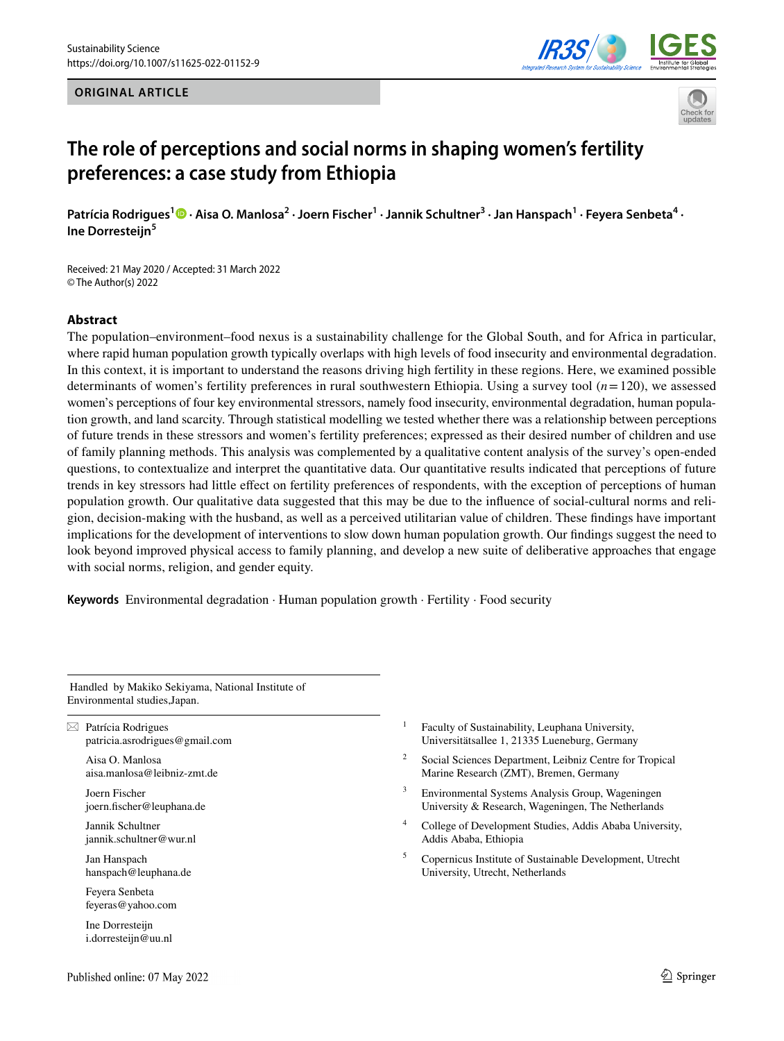## **ORIGINAL ARTICLE**





# **The role of perceptions and social norms in shaping women's fertility preferences: a case study from Ethiopia**

Patrícia Rodrigues<sup>1</sup> ® [·](https://orcid.org/0000-0003-0992-7585) Aisa O. Manlosa<sup>2</sup> · Joern Fischer<sup>1</sup> · Jannik Schultner<sup>3</sup> · Jan Hanspach<sup>1</sup> · Feyera Senbeta<sup>4</sup> · **Ine Dorresteijn<sup>5</sup>**

Received: 21 May 2020 / Accepted: 31 March 2022 © The Author(s) 2022

## **Abstract**

The population–environment–food nexus is a sustainability challenge for the Global South, and for Africa in particular, where rapid human population growth typically overlaps with high levels of food insecurity and environmental degradation. In this context, it is important to understand the reasons driving high fertility in these regions. Here, we examined possible determinants of women's fertility preferences in rural southwestern Ethiopia. Using a survey tool (*n*=120), we assessed women's perceptions of four key environmental stressors, namely food insecurity, environmental degradation, human population growth, and land scarcity. Through statistical modelling we tested whether there was a relationship between perceptions of future trends in these stressors and women's fertility preferences; expressed as their desired number of children and use of family planning methods. This analysis was complemented by a qualitative content analysis of the survey's open-ended questions, to contextualize and interpret the quantitative data. Our quantitative results indicated that perceptions of future trends in key stressors had little efect on fertility preferences of respondents, with the exception of perceptions of human population growth. Our qualitative data suggested that this may be due to the infuence of social-cultural norms and religion, decision-making with the husband, as well as a perceived utilitarian value of children. These fndings have important implications for the development of interventions to slow down human population growth. Our fndings suggest the need to look beyond improved physical access to family planning, and develop a new suite of deliberative approaches that engage with social norms, religion, and gender equity.

**Keywords** Environmental degradation · Human population growth · Fertility · Food security

 Handled by Makiko Sekiyama, National Institute of Environmental studies,Japan.

 $\boxtimes$  Patrícia Rodrigues patricia.asrodrigues@gmail.com

> Aisa O. Manlosa aisa.manlosa@leibniz-zmt.de

Joern Fischer joern.fscher@leuphana.de

Jannik Schultner jannik.schultner@wur.nl

Jan Hanspach hanspach@leuphana.de

Feyera Senbeta feyeras@yahoo.com

Ine Dorresteijn i.dorresteijn@uu.nl

- <sup>1</sup> Faculty of Sustainability, Leuphana University, Universitätsallee 1, 21335 Lueneburg, Germany
- <sup>2</sup> Social Sciences Department, Leibniz Centre for Tropical Marine Research (ZMT), Bremen, Germany
- <sup>3</sup> Environmental Systems Analysis Group, Wageningen University & Research, Wageningen, The Netherlands
- <sup>4</sup> College of Development Studies, Addis Ababa University, Addis Ababa, Ethiopia
- <sup>5</sup> Copernicus Institute of Sustainable Development, Utrecht University, Utrecht, Netherlands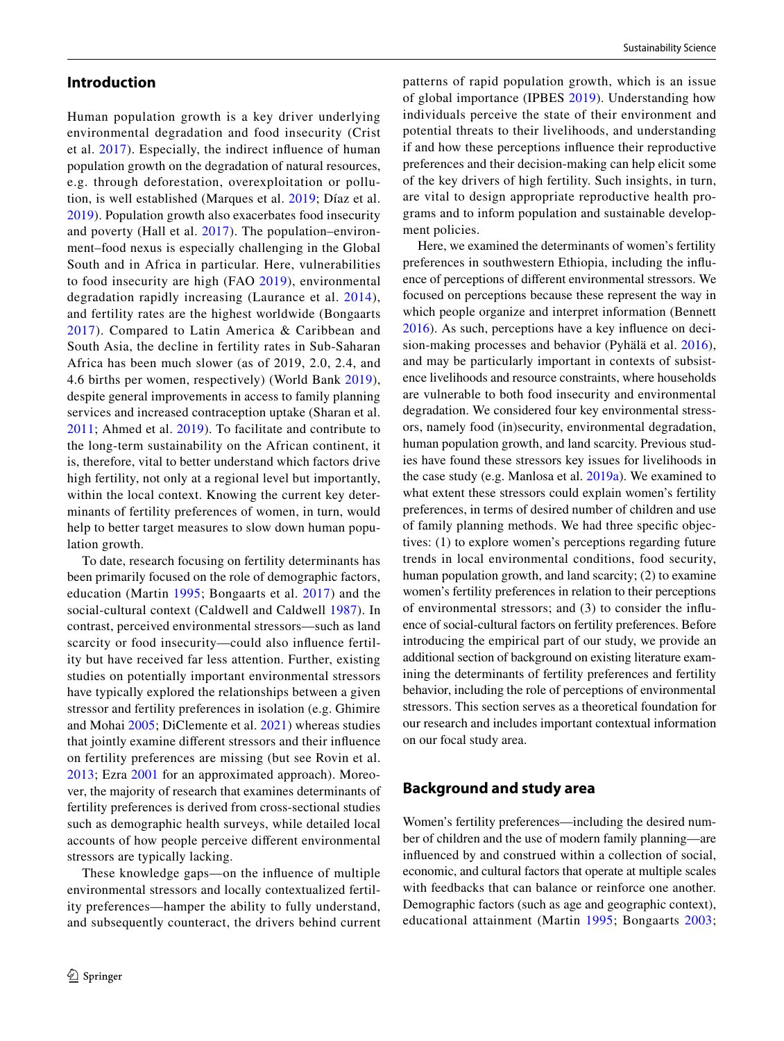# **Introduction**

Human population growth is a key driver underlying environmental degradation and food insecurity (Crist et al. [2017](#page-14-0)). Especially, the indirect infuence of human population growth on the degradation of natural resources, e.g. through deforestation, overexploitation or pollution, is well established (Marques et al. [2019](#page-15-0); Díaz et al. [2019\)](#page-14-1). Population growth also exacerbates food insecurity and poverty (Hall et al. [2017](#page-14-2)). The population–environment–food nexus is especially challenging in the Global South and in Africa in particular. Here, vulnerabilities to food insecurity are high (FAO [2019](#page-14-3)), environmental degradation rapidly increasing (Laurance et al. [2014\)](#page-14-4), and fertility rates are the highest worldwide (Bongaarts [2017\)](#page-13-0). Compared to Latin America & Caribbean and South Asia, the decline in fertility rates in Sub-Saharan Africa has been much slower (as of 2019, 2.0, 2.4, and 4.6 births per women, respectively) (World Bank [2019](#page-15-1)), despite general improvements in access to family planning services and increased contraception uptake (Sharan et al. [2011;](#page-15-2) Ahmed et al. [2019](#page-13-1)). To facilitate and contribute to the long-term sustainability on the African continent, it is, therefore, vital to better understand which factors drive high fertility, not only at a regional level but importantly, within the local context. Knowing the current key determinants of fertility preferences of women, in turn, would help to better target measures to slow down human population growth.

To date, research focusing on fertility determinants has been primarily focused on the role of demographic factors, education (Martin [1995;](#page-15-3) Bongaarts et al. [2017](#page-14-5)) and the social-cultural context (Caldwell and Caldwell [1987](#page-14-6)). In contrast, perceived environmental stressors—such as land scarcity or food insecurity—could also infuence fertility but have received far less attention. Further, existing studies on potentially important environmental stressors have typically explored the relationships between a given stressor and fertility preferences in isolation (e.g. Ghimire and Mohai [2005](#page-14-7); DiClemente et al. [2021\)](#page-14-8) whereas studies that jointly examine diferent stressors and their infuence on fertility preferences are missing (but see Rovin et al. [2013;](#page-15-4) Ezra [2001](#page-14-9) for an approximated approach). Moreover, the majority of research that examines determinants of fertility preferences is derived from cross-sectional studies such as demographic health surveys, while detailed local accounts of how people perceive diferent environmental stressors are typically lacking.

These knowledge gaps—on the infuence of multiple environmental stressors and locally contextualized fertility preferences—hamper the ability to fully understand, and subsequently counteract, the drivers behind current

patterns of rapid population growth, which is an issue of global importance (IPBES [2019](#page-14-10)). Understanding how individuals perceive the state of their environment and potential threats to their livelihoods, and understanding if and how these perceptions infuence their reproductive preferences and their decision-making can help elicit some of the key drivers of high fertility. Such insights, in turn, are vital to design appropriate reproductive health programs and to inform population and sustainable development policies.

Here, we examined the determinants of women's fertility preferences in southwestern Ethiopia, including the infuence of perceptions of diferent environmental stressors. We focused on perceptions because these represent the way in which people organize and interpret information (Bennett [2016\)](#page-13-2). As such, perceptions have a key infuence on decision-making processes and behavior (Pyhälä et al. [2016](#page-15-5)), and may be particularly important in contexts of subsistence livelihoods and resource constraints, where households are vulnerable to both food insecurity and environmental degradation. We considered four key environmental stressors, namely food (in)security, environmental degradation, human population growth, and land scarcity. Previous studies have found these stressors key issues for livelihoods in the case study (e.g. Manlosa et al. [2019a](#page-14-11)). We examined to what extent these stressors could explain women's fertility preferences, in terms of desired number of children and use of family planning methods. We had three specifc objectives: (1) to explore women's perceptions regarding future trends in local environmental conditions, food security, human population growth, and land scarcity; (2) to examine women's fertility preferences in relation to their perceptions of environmental stressors; and (3) to consider the infuence of social-cultural factors on fertility preferences. Before introducing the empirical part of our study, we provide an additional section of background on existing literature examining the determinants of fertility preferences and fertility behavior, including the role of perceptions of environmental stressors. This section serves as a theoretical foundation for our research and includes important contextual information on our focal study area.

# **Background and study area**

Women's fertility preferences—including the desired number of children and the use of modern family planning—are infuenced by and construed within a collection of social, economic, and cultural factors that operate at multiple scales with feedbacks that can balance or reinforce one another. Demographic factors (such as age and geographic context), educational attainment (Martin [1995](#page-15-3); Bongaarts [2003](#page-13-3);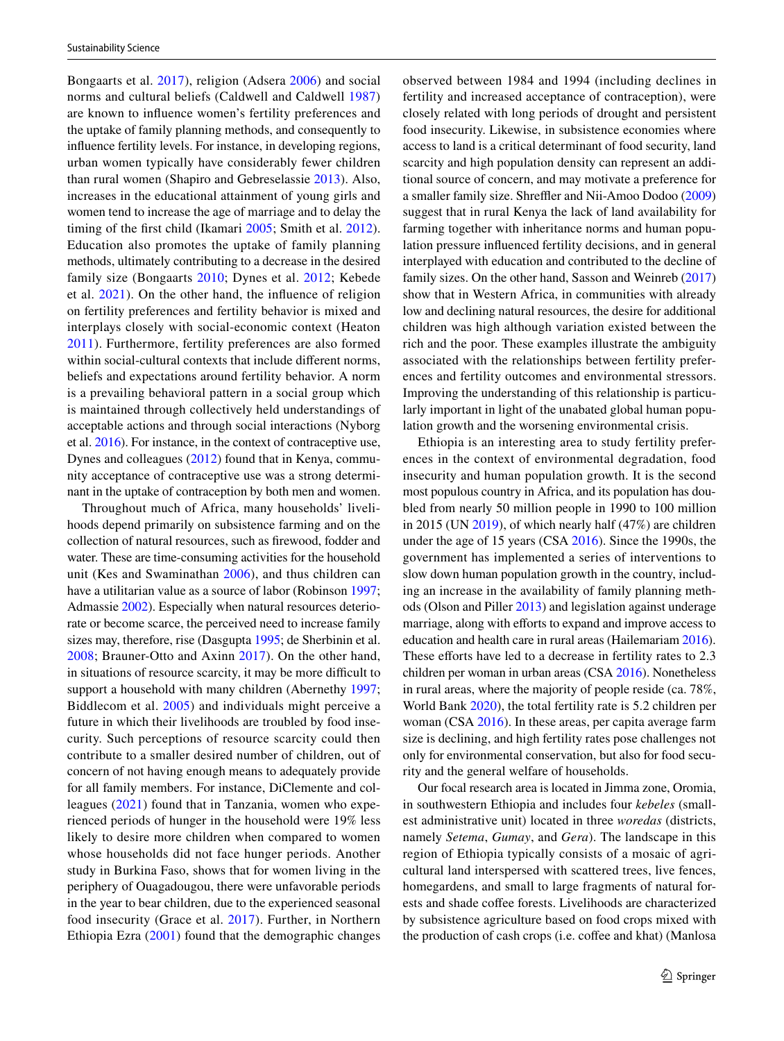Bongaarts et al. [2017](#page-14-5)), religion (Adsera [2006\)](#page-13-4) and social norms and cultural beliefs (Caldwell and Caldwell [1987\)](#page-14-6) are known to infuence women's fertility preferences and the uptake of family planning methods, and consequently to infuence fertility levels. For instance, in developing regions, urban women typically have considerably fewer children than rural women (Shapiro and Gebreselassie [2013\)](#page-15-6). Also, increases in the educational attainment of young girls and women tend to increase the age of marriage and to delay the timing of the frst child (Ikamari [2005](#page-14-12); Smith et al. [2012](#page-15-7)). Education also promotes the uptake of family planning methods, ultimately contributing to a decrease in the desired family size (Bongaarts [2010;](#page-14-13) Dynes et al. [2012;](#page-14-14) Kebede et al. [2021\)](#page-14-15). On the other hand, the infuence of religion on fertility preferences and fertility behavior is mixed and interplays closely with social-economic context (Heaton [2011\)](#page-14-16). Furthermore, fertility preferences are also formed within social-cultural contexts that include diferent norms, beliefs and expectations around fertility behavior. A norm is a prevailing behavioral pattern in a social group which is maintained through collectively held understandings of acceptable actions and through social interactions (Nyborg et al. [2016\)](#page-15-8). For instance, in the context of contraceptive use, Dynes and colleagues ([2012](#page-14-14)) found that in Kenya, community acceptance of contraceptive use was a strong determinant in the uptake of contraception by both men and women.

Throughout much of Africa, many households' livelihoods depend primarily on subsistence farming and on the collection of natural resources, such as frewood, fodder and water. These are time-consuming activities for the household unit (Kes and Swaminathan [2006](#page-14-17)), and thus children can have a utilitarian value as a source of labor (Robinson [1997](#page-15-9); Admassie [2002](#page-13-5)). Especially when natural resources deteriorate or become scarce, the perceived need to increase family sizes may, therefore, rise (Dasgupta [1995](#page-14-18); de Sherbinin et al. [2008;](#page-14-19) Brauner-Otto and Axinn [2017](#page-14-20)). On the other hand, in situations of resource scarcity, it may be more difficult to support a household with many children (Abernethy [1997](#page-13-6); Biddlecom et al. [2005\)](#page-13-7) and individuals might perceive a future in which their livelihoods are troubled by food insecurity. Such perceptions of resource scarcity could then contribute to a smaller desired number of children, out of concern of not having enough means to adequately provide for all family members. For instance, DiClemente and colleagues [\(2021\)](#page-14-8) found that in Tanzania, women who experienced periods of hunger in the household were 19% less likely to desire more children when compared to women whose households did not face hunger periods. Another study in Burkina Faso, shows that for women living in the periphery of Ouagadougou, there were unfavorable periods in the year to bear children, due to the experienced seasonal food insecurity (Grace et al. [2017\)](#page-14-21). Further, in Northern Ethiopia Ezra ([2001](#page-14-9)) found that the demographic changes observed between 1984 and 1994 (including declines in fertility and increased acceptance of contraception), were closely related with long periods of drought and persistent food insecurity. Likewise, in subsistence economies where access to land is a critical determinant of food security, land scarcity and high population density can represent an additional source of concern, and may motivate a preference for a smaller family size. Shreffler and Nii-Amoo Dodoo ([2009\)](#page-15-10) suggest that in rural Kenya the lack of land availability for farming together with inheritance norms and human population pressure infuenced fertility decisions, and in general interplayed with education and contributed to the decline of family sizes. On the other hand, Sasson and Weinreb ([2017\)](#page-15-11) show that in Western Africa, in communities with already low and declining natural resources, the desire for additional children was high although variation existed between the rich and the poor. These examples illustrate the ambiguity associated with the relationships between fertility preferences and fertility outcomes and environmental stressors. Improving the understanding of this relationship is particularly important in light of the unabated global human population growth and the worsening environmental crisis.

Ethiopia is an interesting area to study fertility preferences in the context of environmental degradation, food insecurity and human population growth. It is the second most populous country in Africa, and its population has doubled from nearly 50 million people in 1990 to 100 million in 2015 (UN [2019](#page-15-12)), of which nearly half (47%) are children under the age of 15 years (CSA [2016\)](#page-14-22). Since the 1990s, the government has implemented a series of interventions to slow down human population growth in the country, including an increase in the availability of family planning methods (Olson and Piller [2013\)](#page-15-13) and legislation against underage marriage, along with efforts to expand and improve access to education and health care in rural areas (Hailemariam [2016](#page-14-23)). These efforts have led to a decrease in fertility rates to 2.3 children per woman in urban areas (CSA [2016](#page-14-22)). Nonetheless in rural areas, where the majority of people reside (ca. 78%, World Bank [2020\)](#page-15-14), the total fertility rate is 5.2 children per woman (CSA [2016\)](#page-14-22). In these areas, per capita average farm size is declining, and high fertility rates pose challenges not only for environmental conservation, but also for food security and the general welfare of households.

Our focal research area is located in Jimma zone, Oromia, in southwestern Ethiopia and includes four *kebeles* (smallest administrative unit) located in three *woredas* (districts, namely *Setema*, *Gumay*, and *Gera*). The landscape in this region of Ethiopia typically consists of a mosaic of agricultural land interspersed with scattered trees, live fences, homegardens, and small to large fragments of natural forests and shade coffee forests. Livelihoods are characterized by subsistence agriculture based on food crops mixed with the production of cash crops (i.e. coffee and khat) (Manlosa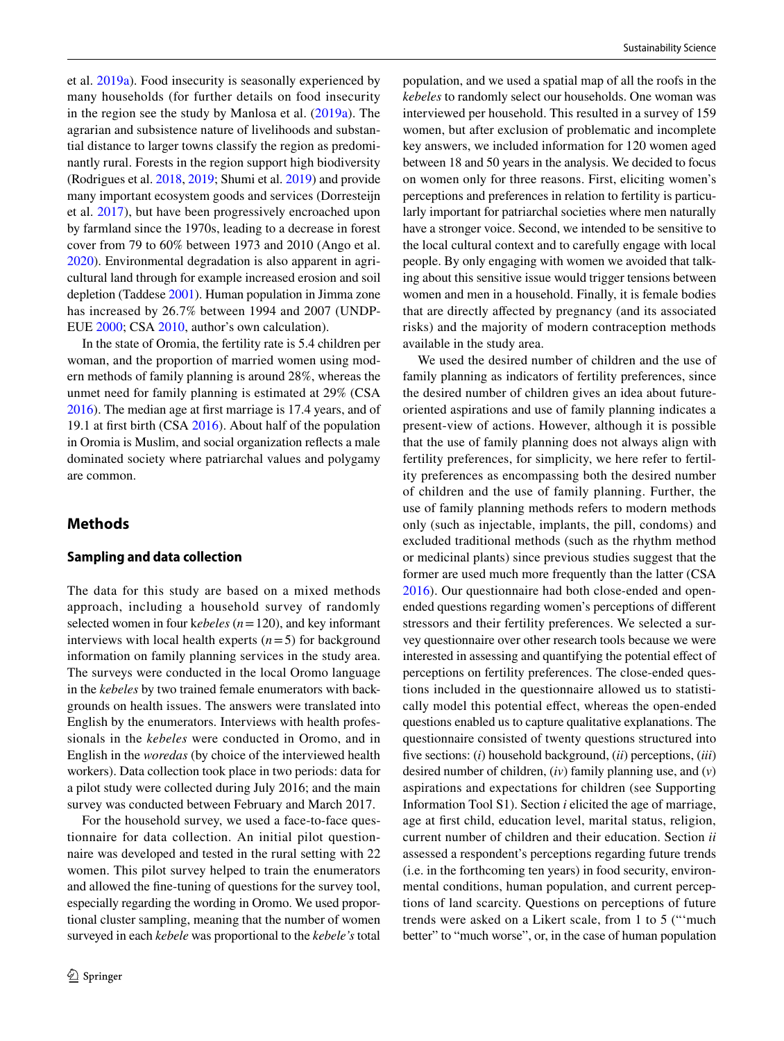et al. [2019a](#page-14-11)). Food insecurity is seasonally experienced by many households (for further details on food insecurity in the region see the study by Manlosa et al. ([2019a\)](#page-14-11). The agrarian and subsistence nature of livelihoods and substantial distance to larger towns classify the region as predominantly rural. Forests in the region support high biodiversity (Rodrigues et al. [2018](#page-15-15), [2019;](#page-15-16) Shumi et al. [2019](#page-15-17)) and provide many important ecosystem goods and services (Dorresteijn et al. [2017](#page-14-24)), but have been progressively encroached upon by farmland since the 1970s, leading to a decrease in forest cover from 79 to 60% between 1973 and 2010 (Ango et al. [2020](#page-13-8)). Environmental degradation is also apparent in agricultural land through for example increased erosion and soil depletion (Taddese [2001](#page-15-18)). Human population in Jimma zone has increased by 26.7% between 1994 and 2007 (UNDP-EUE [2000](#page-15-19); CSA [2010](#page-14-25), author's own calculation).

In the state of Oromia, the fertility rate is 5.4 children per woman, and the proportion of married women using modern methods of family planning is around 28%, whereas the unmet need for family planning is estimated at 29% (CSA [2016](#page-14-22)). The median age at frst marriage is 17.4 years, and of 19.1 at frst birth (CSA [2016](#page-14-22)). About half of the population in Oromia is Muslim, and social organization refects a male dominated society where patriarchal values and polygamy are common.

# **Methods**

#### **Sampling and data collection**

The data for this study are based on a mixed methods approach, including a household survey of randomly selected women in four k*ebeles* (*n*=120), and key informant interviews with local health experts  $(n=5)$  for background information on family planning services in the study area. The surveys were conducted in the local Oromo language in the *kebeles* by two trained female enumerators with backgrounds on health issues. The answers were translated into English by the enumerators. Interviews with health professionals in the *kebeles* were conducted in Oromo, and in English in the *woredas* (by choice of the interviewed health workers). Data collection took place in two periods: data for a pilot study were collected during July 2016; and the main survey was conducted between February and March 2017.

For the household survey, we used a face-to-face questionnaire for data collection. An initial pilot questionnaire was developed and tested in the rural setting with 22 women. This pilot survey helped to train the enumerators and allowed the fne-tuning of questions for the survey tool, especially regarding the wording in Oromo. We used proportional cluster sampling, meaning that the number of women surveyed in each *kebele* was proportional to the *kebele's* total population, and we used a spatial map of all the roofs in the *kebeles* to randomly select our households. One woman was interviewed per household. This resulted in a survey of 159 women, but after exclusion of problematic and incomplete key answers, we included information for 120 women aged between 18 and 50 years in the analysis. We decided to focus on women only for three reasons. First, eliciting women's perceptions and preferences in relation to fertility is particularly important for patriarchal societies where men naturally have a stronger voice. Second, we intended to be sensitive to the local cultural context and to carefully engage with local people. By only engaging with women we avoided that talking about this sensitive issue would trigger tensions between women and men in a household. Finally, it is female bodies that are directly afected by pregnancy (and its associated risks) and the majority of modern contraception methods available in the study area.

We used the desired number of children and the use of family planning as indicators of fertility preferences, since the desired number of children gives an idea about futureoriented aspirations and use of family planning indicates a present-view of actions. However, although it is possible that the use of family planning does not always align with fertility preferences, for simplicity, we here refer to fertility preferences as encompassing both the desired number of children and the use of family planning. Further, the use of family planning methods refers to modern methods only (such as injectable, implants, the pill, condoms) and excluded traditional methods (such as the rhythm method or medicinal plants) since previous studies suggest that the former are used much more frequently than the latter (CSA [2016\)](#page-14-22). Our questionnaire had both close-ended and openended questions regarding women's perceptions of diferent stressors and their fertility preferences. We selected a survey questionnaire over other research tools because we were interested in assessing and quantifying the potential efect of perceptions on fertility preferences. The close-ended questions included in the questionnaire allowed us to statistically model this potential effect, whereas the open-ended questions enabled us to capture qualitative explanations. The questionnaire consisted of twenty questions structured into fve sections: (*i*) household background, (*ii*) perceptions, (*iii*) desired number of children, (*iv*) family planning use, and (*v*) aspirations and expectations for children (see Supporting Information Tool S1). Section *i* elicited the age of marriage, age at frst child, education level, marital status, religion, current number of children and their education. Section *ii* assessed a respondent's perceptions regarding future trends (i.e. in the forthcoming ten years) in food security, environmental conditions, human population, and current perceptions of land scarcity. Questions on perceptions of future trends were asked on a Likert scale, from 1 to 5 ("'much better" to "much worse", or, in the case of human population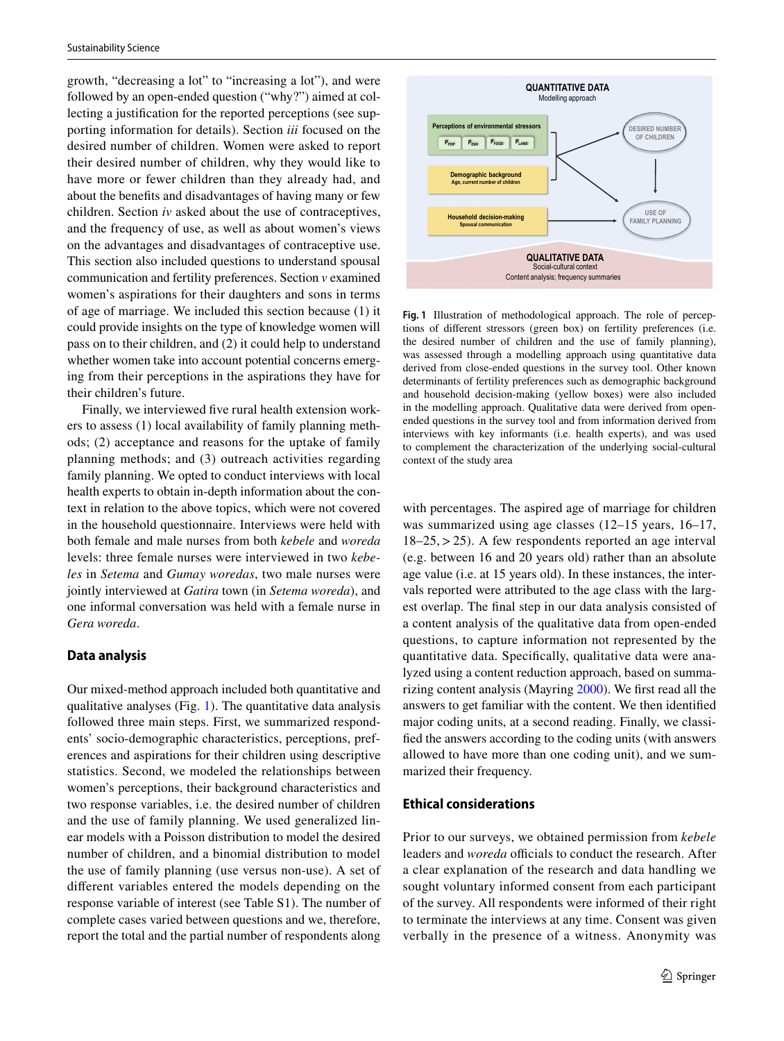growth, "decreasing a lot" to "increasing a lot"), and were followed by an open-ended question ("why?") aimed at collecting a justifcation for the reported perceptions (see supporting information for details). Section *iii* focused on the desired number of children. Women were asked to report their desired number of children, why they would like to have more or fewer children than they already had, and about the benefts and disadvantages of having many or few children. Section *iv* asked about the use of contraceptives, and the frequency of use, as well as about women's views on the advantages and disadvantages of contraceptive use. This section also included questions to understand spousal communication and fertility preferences. Section *v* examined women's aspirations for their daughters and sons in terms of age of marriage. We included this section because (1) it could provide insights on the type of knowledge women will pass on to their children, and (2) it could help to understand whether women take into account potential concerns emerging from their perceptions in the aspirations they have for their children's future.

Finally, we interviewed five rural health extension workers to assess (1) local availability of family planning methods; (2) acceptance and reasons for the uptake of family planning methods; and (3) outreach activities regarding family planning. We opted to conduct interviews with local health experts to obtain in-depth information about the context in relation to the above topics, which were not covered in the household questionnaire. Interviews were held with both female and male nurses from both *kebele* and *woreda* levels: three female nurses were interviewed in two *kebeles* in *Setema* and *Gumay woredas*, two male nurses were jointly interviewed at *Gatira* town (in *Setema woreda*), and one informal conversation was held with a female nurse in *Gera woreda*.

## **Data analysis**

Our mixed-method approach included both quantitative and qualitative analyses (Fig. [1\)](#page-4-0). The quantitative data analysis followed three main steps. First, we summarized respondents' socio-demographic characteristics, perceptions, preferences and aspirations for their children using descriptive statistics. Second, we modeled the relationships between women's perceptions, their background characteristics and two response variables, i.e. the desired number of children and the use of family planning. We used generalized linear models with a Poisson distribution to model the desired number of children, and a binomial distribution to model the use of family planning (use versus non-use). A set of diferent variables entered the models depending on the response variable of interest (see Table S1). The number of complete cases varied between questions and we, therefore, report the total and the partial number of respondents along



<span id="page-4-0"></span>**Fig. 1** Illustration of methodological approach. The role of perceptions of diferent stressors (green box) on fertility preferences (i.e. the desired number of children and the use of family planning), was assessed through a modelling approach using quantitative data derived from close-ended questions in the survey tool. Other known determinants of fertility preferences such as demographic background and household decision-making (yellow boxes) were also included in the modelling approach. Qualitative data were derived from openended questions in the survey tool and from information derived from interviews with key informants (i.e. health experts), and was used to complement the characterization of the underlying social-cultural context of the study area

with percentages. The aspired age of marriage for children was summarized using age classes (12–15 years, 16–17,  $18-25$ ,  $>25$ ). A few respondents reported an age interval (e.g. between 16 and 20 years old) rather than an absolute age value (i.e. at 15 years old). In these instances, the intervals reported were attributed to the age class with the largest overlap. The fnal step in our data analysis consisted of a content analysis of the qualitative data from open-ended questions, to capture information not represented by the quantitative data. Specifcally, qualitative data were analyzed using a content reduction approach, based on summarizing content analysis (Mayring [2000](#page-15-20)). We frst read all the answers to get familiar with the content. We then identifed major coding units, at a second reading. Finally, we classifed the answers according to the coding units (with answers allowed to have more than one coding unit), and we summarized their frequency.

## **Ethical considerations**

Prior to our surveys, we obtained permission from *kebele* leaders and *woreda* officials to conduct the research. After a clear explanation of the research and data handling we sought voluntary informed consent from each participant of the survey. All respondents were informed of their right to terminate the interviews at any time. Consent was given verbally in the presence of a witness. Anonymity was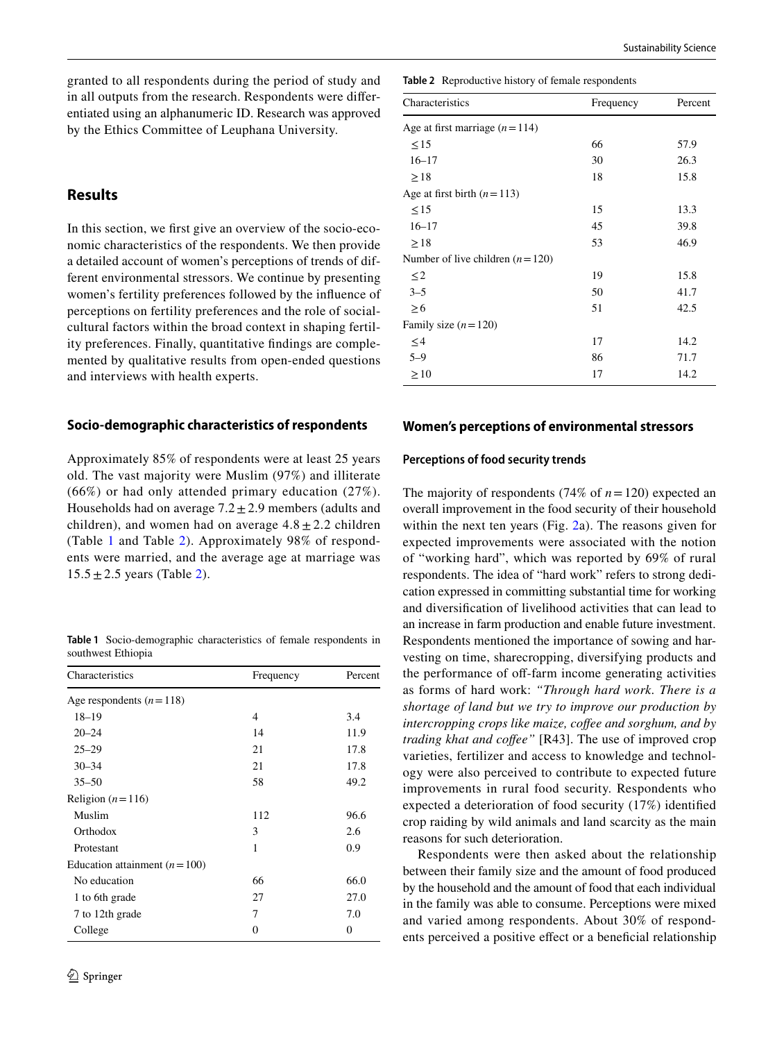granted to all respondents during the period of study and in all outputs from the research. Respondents were diferentiated using an alphanumeric ID. Research was approved by the Ethics Committee of Leuphana University.

# **Results**

In this section, we frst give an overview of the socio-economic characteristics of the respondents. We then provide a detailed account of women's perceptions of trends of different environmental stressors. We continue by presenting women's fertility preferences followed by the infuence of perceptions on fertility preferences and the role of socialcultural factors within the broad context in shaping fertility preferences. Finally, quantitative fndings are complemented by qualitative results from open-ended questions and interviews with health experts.

## **Socio‑demographic characteristics of respondents**

Approximately 85% of respondents were at least 25 years old. The vast majority were Muslim (97%) and illiterate (66%) or had only attended primary education (27%). Households had on average  $7.2 \pm 2.9$  members (adults and children), and women had on average  $4.8 \pm 2.2$  children (Table [1](#page-5-0) and Table [2](#page-5-1)). Approximately 98% of respondents were married, and the average age at marriage was  $15.5 \pm 2.5$  years (Table [2\)](#page-5-1).

<span id="page-5-0"></span>

| Table 1 Socio-demographic characteristics of female respondents in |  |  |
|--------------------------------------------------------------------|--|--|
| southwest Ethiopia                                                 |  |  |

| Characteristics                | Frequency | Percent  |  |
|--------------------------------|-----------|----------|--|
| Age respondents $(n=118)$      |           |          |  |
| $18 - 19$                      | 4         | 3.4      |  |
| $20 - 24$                      | 14        | 11.9     |  |
| $25 - 29$                      | 21        | 17.8     |  |
| $30 - 34$                      | 21        | 17.8     |  |
| $35 - 50$                      | 58        | 49.2     |  |
| Religion $(n=116)$             |           |          |  |
| Muslim                         | 112       | 96.6     |  |
| Orthodox                       | 3         | 2.6      |  |
| Protestant                     | 1         | 0.9      |  |
| Education attainment $(n=100)$ |           |          |  |
| No education                   | 66        | 66.0     |  |
| 1 to 6th grade                 | 27        | 27.0     |  |
| 7 to 12th grade                | 7         | 7.0      |  |
| College                        | 0         | $\Omega$ |  |

<span id="page-5-1"></span>**Table 2** Reproductive history of female respondents

| Characteristics                   | Frequency | Percent |  |
|-----------------------------------|-----------|---------|--|
| Age at first marriage $(n=114)$   |           |         |  |
| $\leq$ 15                         | 66        | 57.9    |  |
| $16 - 17$                         | 30        | 26.3    |  |
| $\geq$ 18                         | 18        | 15.8    |  |
| Age at first birth $(n=113)$      |           |         |  |
| $\leq$ 15                         | 15        | 13.3    |  |
| $16 - 17$                         | 45        | 39.8    |  |
| $\geq$ 18                         | 53        | 46.9    |  |
| Number of live children $(n=120)$ |           |         |  |
| $\leq$ 2                          | 19        | 15.8    |  |
| $3 - 5$                           | 50        | 41.7    |  |
| >6                                | 51        | 42.5    |  |
| Family size $(n=120)$             |           |         |  |
| ${\leq}4$                         | 17        | 14.2    |  |
| $5 - 9$                           | 86        | 71.7    |  |
| $\geq 10$                         | 17        | 14.2    |  |

## **Women's perceptions of environmental stressors**

## **Perceptions of food security trends**

The majority of respondents (74% of  $n = 120$ ) expected an overall improvement in the food security of their household within the next ten years (Fig. [2](#page-6-0)a). The reasons given for expected improvements were associated with the notion of "working hard", which was reported by 69% of rural respondents. The idea of "hard work" refers to strong dedication expressed in committing substantial time for working and diversifcation of livelihood activities that can lead to an increase in farm production and enable future investment. Respondents mentioned the importance of sowing and harvesting on time, sharecropping, diversifying products and the performance of off-farm income generating activities as forms of hard work: *"Through hard work. There is a shortage of land but we try to improve our production by intercropping crops like maize, cofee and sorghum, and by trading khat and cofee"* [R43]. The use of improved crop varieties, fertilizer and access to knowledge and technology were also perceived to contribute to expected future improvements in rural food security. Respondents who expected a deterioration of food security (17%) identifed crop raiding by wild animals and land scarcity as the main reasons for such deterioration.

Respondents were then asked about the relationship between their family size and the amount of food produced by the household and the amount of food that each individual in the family was able to consume. Perceptions were mixed and varied among respondents. About 30% of respondents perceived a positive efect or a benefcial relationship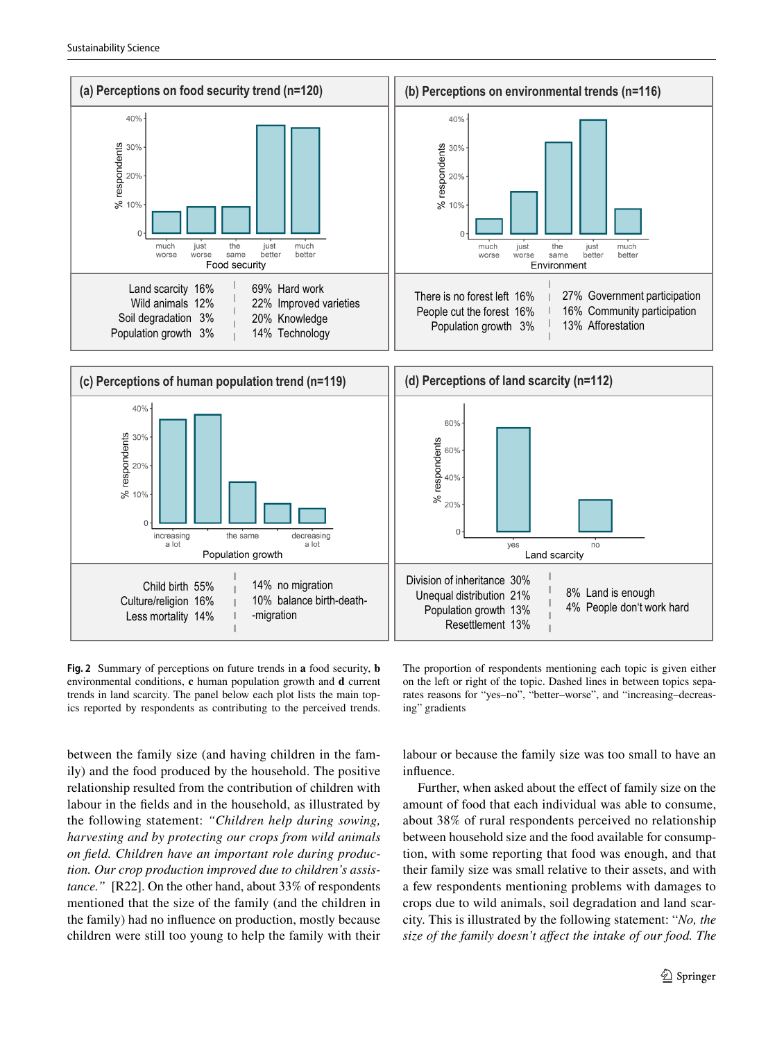

<span id="page-6-0"></span>**Fig. 2** Summary of perceptions on future trends in **a** food security, **b** environmental conditions, **c** human population growth and **d** current trends in land scarcity. The panel below each plot lists the main topics reported by respondents as contributing to the perceived trends.

rates reasons for "yes–no", "better–worse", and "increasing–decreasing" gradients

The proportion of respondents mentioning each topic is given either on the left or right of the topic. Dashed lines in between topics sepa-

between the family size (and having children in the family) and the food produced by the household. The positive relationship resulted from the contribution of children with labour in the felds and in the household, as illustrated by the following statement: *"Children help during sowing, harvesting and by protecting our crops from wild animals on feld. Children have an important role during production. Our crop production improved due to children's assistance."* [R22]. On the other hand, about 33% of respondents mentioned that the size of the family (and the children in the family) had no infuence on production, mostly because children were still too young to help the family with their labour or because the family size was too small to have an infuence.

Further, when asked about the effect of family size on the amount of food that each individual was able to consume, about 38% of rural respondents perceived no relationship between household size and the food available for consumption, with some reporting that food was enough, and that their family size was small relative to their assets, and with a few respondents mentioning problems with damages to crops due to wild animals, soil degradation and land scarcity. This is illustrated by the following statement: "*No, the size of the family doesn't afect the intake of our food. The*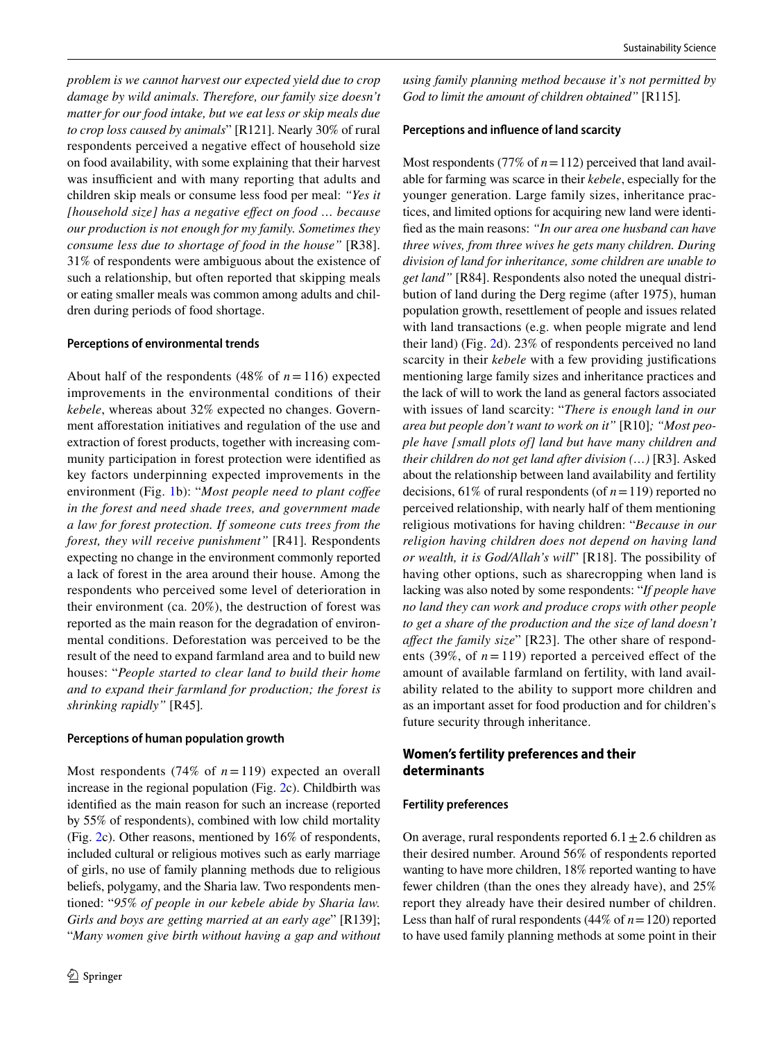*problem is we cannot harvest our expected yield due to crop damage by wild animals. Therefore, our family size doesn't matter for our food intake, but we eat less or skip meals due to crop loss caused by animals*" [R121]. Nearly 30% of rural respondents perceived a negative efect of household size on food availability, with some explaining that their harvest was insufficient and with many reporting that adults and children skip meals or consume less food per meal: *"Yes it [household size] has a negative efect on food … because our production is not enough for my family. Sometimes they consume less due to shortage of food in the house"* [R38]. 31% of respondents were ambiguous about the existence of such a relationship, but often reported that skipping meals or eating smaller meals was common among adults and children during periods of food shortage.

### **Perceptions of environmental trends**

About half of the respondents (48% of  $n = 116$ ) expected improvements in the environmental conditions of their *kebele*, whereas about 32% expected no changes. Government aforestation initiatives and regulation of the use and extraction of forest products, together with increasing community participation in forest protection were identifed as key factors underpinning expected improvements in the environment (Fig. [1b](#page-4-0)): "*Most people need to plant cofee in the forest and need shade trees, and government made a law for forest protection. If someone cuts trees from the forest, they will receive punishment"* [R41]*.* Respondents expecting no change in the environment commonly reported a lack of forest in the area around their house. Among the respondents who perceived some level of deterioration in their environment (ca. 20%), the destruction of forest was reported as the main reason for the degradation of environmental conditions. Deforestation was perceived to be the result of the need to expand farmland area and to build new houses: "*People started to clear land to build their home and to expand their farmland for production; the forest is shrinking rapidly"* [R45]*.*

#### **Perceptions of human population growth**

Most respondents (74% of  $n = 119$ ) expected an overall increase in the regional population (Fig. [2c](#page-6-0)). Childbirth was identifed as the main reason for such an increase (reported by 55% of respondents), combined with low child mortality (Fig. [2c](#page-6-0)). Other reasons, mentioned by 16% of respondents, included cultural or religious motives such as early marriage of girls, no use of family planning methods due to religious beliefs, polygamy, and the Sharia law. Two respondents mentioned: "*95% of people in our kebele abide by Sharia law. Girls and boys are getting married at an early age*" [R139]; "*Many women give birth without having a gap and without*  *using family planning method because it's not permitted by God to limit the amount of children obtained"* [R115]*.*

#### **Perceptions and infuence of land scarcity**

Most respondents (77% of  $n=112$ ) perceived that land available for farming was scarce in their *kebele*, especially for the younger generation. Large family sizes, inheritance practices, and limited options for acquiring new land were identifed as the main reasons: *"In our area one husband can have three wives, from three wives he gets many children. During division of land for inheritance, some children are unable to get land"* [R84]. Respondents also noted the unequal distribution of land during the Derg regime (after 1975), human population growth, resettlement of people and issues related with land transactions (e.g. when people migrate and lend their land) (Fig. [2](#page-6-0)d). 23% of respondents perceived no land scarcity in their *kebele* with a few providing justifcations mentioning large family sizes and inheritance practices and the lack of will to work the land as general factors associated with issues of land scarcity: "*There is enough land in our area but people don't want to work on it"* [R10]*; "Most people have [small plots of] land but have many children and their children do not get land after division (…)* [R3]. Asked about the relationship between land availability and fertility decisions,  $61\%$  of rural respondents (of  $n=119$ ) reported no perceived relationship, with nearly half of them mentioning religious motivations for having children: "*Because in our religion having children does not depend on having land or wealth, it is God/Allah's will*" [R18]. The possibility of having other options, such as sharecropping when land is lacking was also noted by some respondents: "*If people have no land they can work and produce crops with other people to get a share of the production and the size of land doesn't afect the family size*" [R23]. The other share of respondents (39%, of  $n = 119$ ) reported a perceived effect of the amount of available farmland on fertility, with land availability related to the ability to support more children and as an important asset for food production and for children's future security through inheritance.

# **Women's fertility preferences and their determinants**

#### **Fertility preferences**

On average, rural respondents reported  $6.1 \pm 2.6$  children as their desired number. Around 56% of respondents reported wanting to have more children, 18% reported wanting to have fewer children (than the ones they already have), and 25% report they already have their desired number of children. Less than half of rural respondents  $(44\% \text{ of } n=120)$  reported to have used family planning methods at some point in their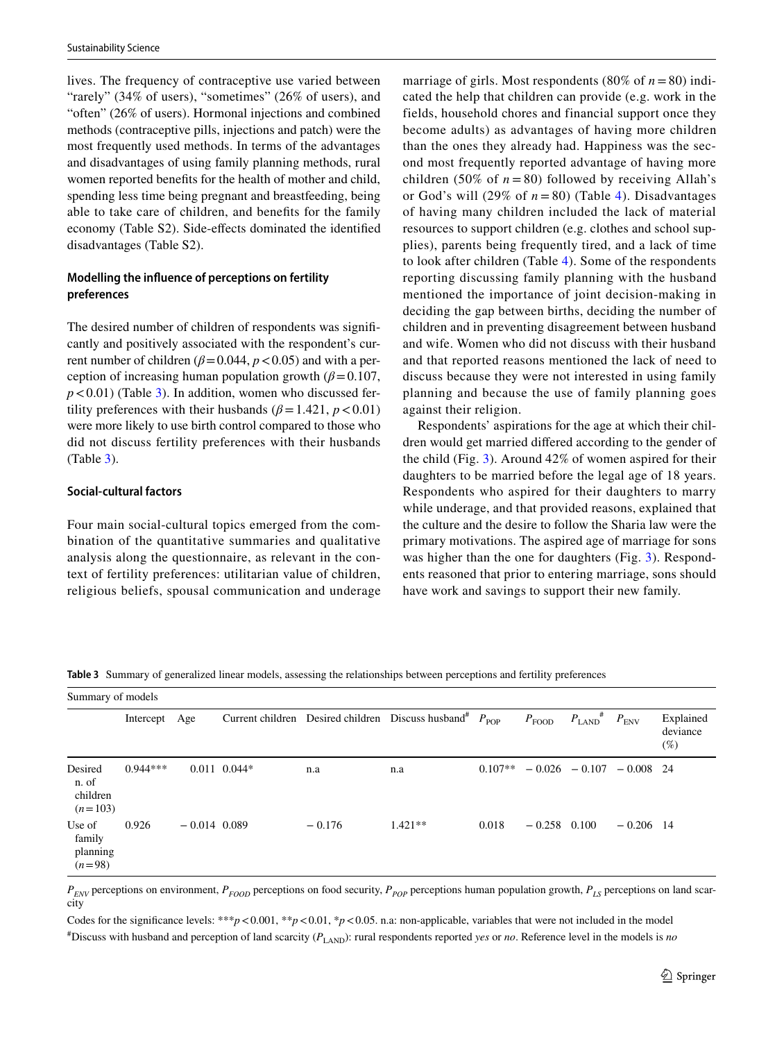lives. The frequency of contraceptive use varied between "rarely" (34% of users), "sometimes" (26% of users), and "often" (26% of users). Hormonal injections and combined methods (contraceptive pills, injections and patch) were the most frequently used methods. In terms of the advantages and disadvantages of using family planning methods, rural women reported benefts for the health of mother and child, spending less time being pregnant and breastfeeding, being able to take care of children, and benefts for the family economy (Table S2). Side-efects dominated the identifed disadvantages (Table S2).

# **Modelling the infuence of perceptions on fertility preferences**

The desired number of children of respondents was signifcantly and positively associated with the respondent's current number of children ( $\beta$ =0.044,  $p$  <0.05) and with a perception of increasing human population growth  $(\beta = 0.107)$ ,  $p$ <0.01) (Table [3](#page-8-0)). In addition, women who discussed fertility preferences with their husbands ( $\beta$  = 1.421, *p* < 0.01) were more likely to use birth control compared to those who did not discuss fertility preferences with their husbands (Table [3\)](#page-8-0).

#### **Social‑cultural factors**

Four main social-cultural topics emerged from the combination of the quantitative summaries and qualitative analysis along the questionnaire, as relevant in the context of fertility preferences: utilitarian value of children, religious beliefs, spousal communication and underage marriage of girls. Most respondents (80% of  $n = 80$ ) indicated the help that children can provide (e.g. work in the fields, household chores and financial support once they become adults) as advantages of having more children than the ones they already had. Happiness was the second most frequently reported advantage of having more children (50% of  $n = 80$ ) followed by receiving Allah's or God's will  $(29\% \text{ of } n = 80)$  (Table [4\)](#page-9-0). Disadvantages of having many children included the lack of material resources to support children (e.g. clothes and school supplies), parents being frequently tired, and a lack of time to look after children (Table [4](#page-9-0)). Some of the respondents reporting discussing family planning with the husband mentioned the importance of joint decision-making in deciding the gap between births, deciding the number of children and in preventing disagreement between husband and wife. Women who did not discuss with their husband and that reported reasons mentioned the lack of need to discuss because they were not interested in using family planning and because the use of family planning goes against their religion.

Respondents' aspirations for the age at which their children would get married difered according to the gender of the child (Fig. [3](#page-9-1)). Around 42% of women aspired for their daughters to be married before the legal age of 18 years. Respondents who aspired for their daughters to marry while underage, and that provided reasons, explained that the culture and the desire to follow the Sharia law were the primary motivations. The aspired age of marriage for sons was higher than the one for daughters (Fig. [3\)](#page-9-1). Respondents reasoned that prior to entering marriage, sons should have work and savings to support their new family.

<span id="page-8-0"></span>**Table 3** Summary of generalized linear models, assessing the relationships between perceptions and fertility preferences

| Summary of models                         |            |                |                  |          |                                                                |           |                   |                             |                  |                                 |
|-------------------------------------------|------------|----------------|------------------|----------|----------------------------------------------------------------|-----------|-------------------|-----------------------------|------------------|---------------------------------|
|                                           | Intercept  | Age            | Current children |          | Desired children Discuss husband <sup>#</sup> $P_{\text{POP}}$ |           | $P_{\text{FOOD}}$ | $P_{\rm LAND}$ #            | $P_{\text{ENV}}$ | Explained<br>deviance<br>$(\%)$ |
| Desired<br>n. of<br>children<br>$(n=103)$ | $0.944***$ |                | $0.011$ $0.044*$ | n.a      | n.a                                                            | $0.107**$ |                   | $-0.026 - 0.107 - 0.008$ 24 |                  |                                 |
| Use of<br>family<br>planning<br>$(n=98)$  | 0.926      | $-0.014$ 0.089 |                  | $-0.176$ | $1.421**$                                                      | 0.018     | $-0.258$ 0.100    |                             | $-0.206$ 14      |                                 |

 $P_{END}$  perceptions on environment,  $P_{FOOD}$  perceptions on food security,  $P_{POP}$  perceptions human population growth,  $P_{LS}$  perceptions on land scarcity

Codes for the significance levels: \*\*\* $p$ <0.001, \*\* $p$ <0.01, \* $p$ <0.05. n.a: non-applicable, variables that were not included in the model # Discuss with husband and perception of land scarcity (*P*LAND): rural respondents reported *yes* or *no*. Reference level in the models is *no*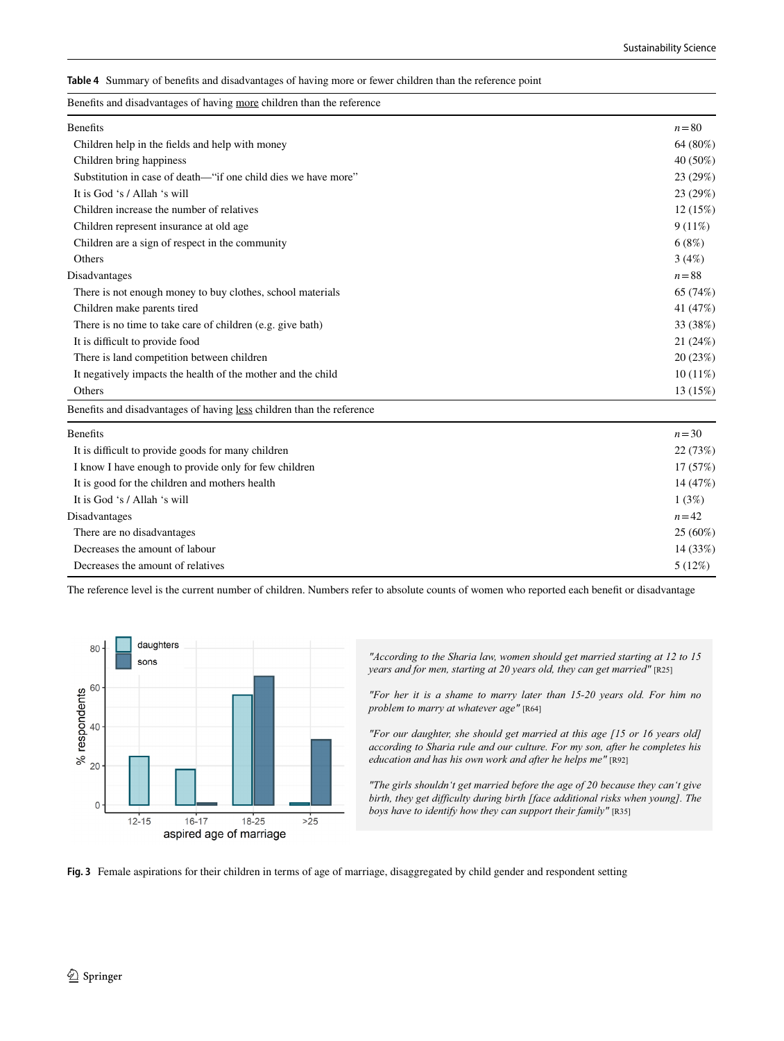<span id="page-9-0"></span>**Table 4** Summary of benefts and disadvantages of having more or fewer children than the reference point

| Benefits and disadvantages of having more children than the reference |            |
|-----------------------------------------------------------------------|------------|
| <b>Benefits</b>                                                       | $n=80$     |
| Children help in the fields and help with money                       | 64 (80%)   |
| Children bring happiness                                              | 40 (50%)   |
| Substitution in case of death—"if one child dies we have more"        | 23 (29%)   |
| It is God 's / Allah 's will                                          | 23 (29%)   |
| Children increase the number of relatives                             | 12(15%)    |
| Children represent insurance at old age                               | $9(11\%)$  |
| Children are a sign of respect in the community                       | 6(8%)      |
| <b>Others</b>                                                         | 3(4%)      |
| Disadvantages                                                         | $n = 88$   |
| There is not enough money to buy clothes, school materials            | 65 (74%)   |
| Children make parents tired                                           | 41 (47%)   |
| There is no time to take care of children (e.g. give bath)            | 33 (38%)   |
| It is difficult to provide food                                       | 21 (24%)   |
| There is land competition between children                            | 20 (23%)   |
| It negatively impacts the health of the mother and the child          | $10(11\%)$ |
| Others                                                                | 13 (15%)   |
| Benefits and disadvantages of having less children than the reference |            |
| <b>Benefits</b>                                                       | $n = 30$   |
|                                                                       |            |

| It is difficult to provide goods for many children    | 22(73%)    |
|-------------------------------------------------------|------------|
| I know I have enough to provide only for few children | 17(57%)    |
| It is good for the children and mothers health        | 14 (47%)   |
| It is God 's / Allah 's will                          | 1(3%)      |
| Disadvantages                                         | $n=42$     |
| There are no disadvantages                            | $25(60\%)$ |
| Decreases the amount of labour                        | 14 (33%)   |
| Decreases the amount of relatives                     | $5(12\%)$  |
|                                                       |            |

The reference level is the current number of children. Numbers refer to absolute counts of women who reported each beneft or disadvantage



*"According to the Sharia law, women should get married starting at 12 to 15 years and for men, starting at 20 years old, they can get married"* [R25]

*"For her it is a shame to marry later than 15-20 years old. For him no problem to marry at whatever age"* [R64]

*"For our daughter, she should get married at this age [15 or 16 years old] according to Sharia rule and our culture. For my son, after he completes his education and has his own work and after he helps me"* [R92]

*"The girls shouldn't get married before the age of 20 because they can't give birth, they get difficulty during birth [face additional risks when young]. The boys have to identify how they can support their family"* [R35]

<span id="page-9-1"></span>**Fig. 3** Female aspirations for their children in terms of age of marriage, disaggregated by child gender and respondent setting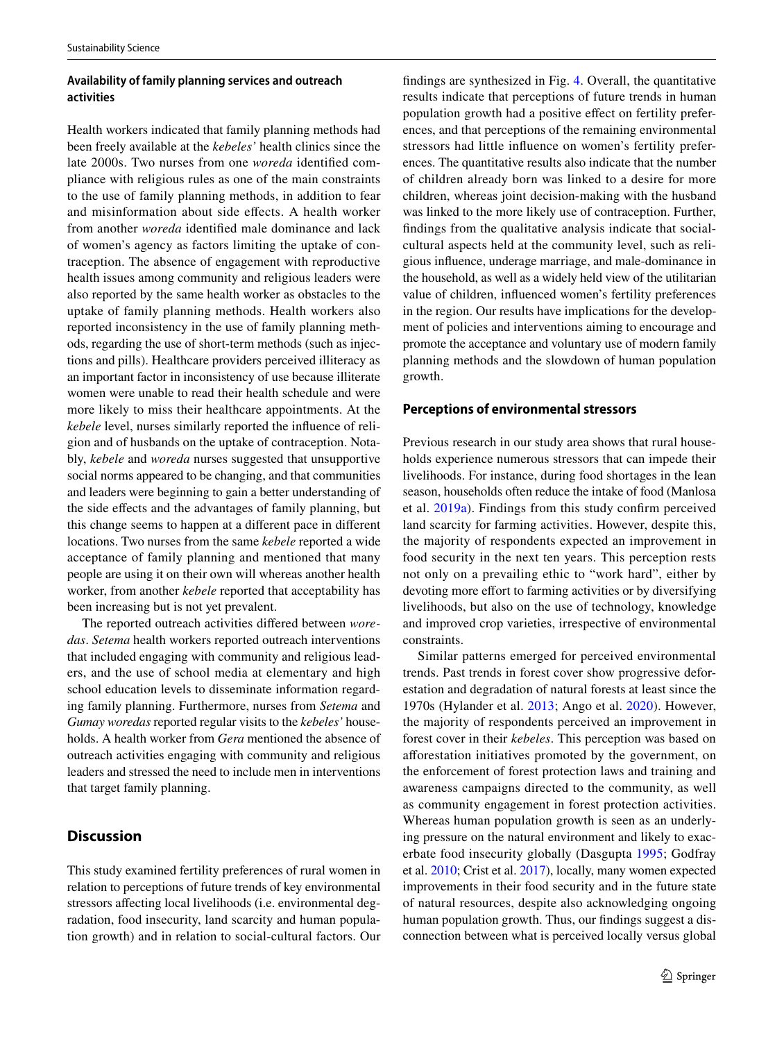# **Availability of family planning services and outreach activities**

Health workers indicated that family planning methods had been freely available at the *kebeles'* health clinics since the late 2000s. Two nurses from one *woreda* identifed compliance with religious rules as one of the main constraints to the use of family planning methods, in addition to fear and misinformation about side efects. A health worker from another *woreda* identifed male dominance and lack of women's agency as factors limiting the uptake of contraception. The absence of engagement with reproductive health issues among community and religious leaders were also reported by the same health worker as obstacles to the uptake of family planning methods. Health workers also reported inconsistency in the use of family planning methods, regarding the use of short-term methods (such as injections and pills). Healthcare providers perceived illiteracy as an important factor in inconsistency of use because illiterate women were unable to read their health schedule and were more likely to miss their healthcare appointments. At the *kebele* level, nurses similarly reported the infuence of religion and of husbands on the uptake of contraception. Notably, *kebele* and *woreda* nurses suggested that unsupportive social norms appeared to be changing, and that communities and leaders were beginning to gain a better understanding of the side efects and the advantages of family planning, but this change seems to happen at a diferent pace in diferent locations. Two nurses from the same *kebele* reported a wide acceptance of family planning and mentioned that many people are using it on their own will whereas another health worker, from another *kebele* reported that acceptability has been increasing but is not yet prevalent.

The reported outreach activities difered between *woredas*. *Setema* health workers reported outreach interventions that included engaging with community and religious leaders, and the use of school media at elementary and high school education levels to disseminate information regarding family planning. Furthermore, nurses from *Setema* and *Gumay woredas* reported regular visits to the *kebeles'* households. A health worker from *Gera* mentioned the absence of outreach activities engaging with community and religious leaders and stressed the need to include men in interventions that target family planning.

# **Discussion**

This study examined fertility preferences of rural women in relation to perceptions of future trends of key environmental stressors afecting local livelihoods (i.e. environmental degradation, food insecurity, land scarcity and human population growth) and in relation to social-cultural factors. Our fndings are synthesized in Fig. [4.](#page-11-0) Overall, the quantitative results indicate that perceptions of future trends in human population growth had a positive effect on fertility preferences, and that perceptions of the remaining environmental stressors had little infuence on women's fertility preferences. The quantitative results also indicate that the number of children already born was linked to a desire for more children, whereas joint decision-making with the husband was linked to the more likely use of contraception. Further, fndings from the qualitative analysis indicate that socialcultural aspects held at the community level, such as religious infuence, underage marriage, and male-dominance in the household, as well as a widely held view of the utilitarian value of children, infuenced women's fertility preferences in the region. Our results have implications for the development of policies and interventions aiming to encourage and promote the acceptance and voluntary use of modern family planning methods and the slowdown of human population growth.

## **Perceptions of environmental stressors**

Previous research in our study area shows that rural households experience numerous stressors that can impede their livelihoods. For instance, during food shortages in the lean season, households often reduce the intake of food (Manlosa et al. [2019a\)](#page-14-11). Findings from this study confrm perceived land scarcity for farming activities. However, despite this, the majority of respondents expected an improvement in food security in the next ten years. This perception rests not only on a prevailing ethic to "work hard", either by devoting more effort to farming activities or by diversifying livelihoods, but also on the use of technology, knowledge and improved crop varieties, irrespective of environmental constraints.

Similar patterns emerged for perceived environmental trends. Past trends in forest cover show progressive deforestation and degradation of natural forests at least since the 1970s (Hylander et al. [2013](#page-14-26); Ango et al. [2020](#page-13-8)). However, the majority of respondents perceived an improvement in forest cover in their *kebeles*. This perception was based on aforestation initiatives promoted by the government, on the enforcement of forest protection laws and training and awareness campaigns directed to the community, as well as community engagement in forest protection activities. Whereas human population growth is seen as an underlying pressure on the natural environment and likely to exacerbate food insecurity globally (Dasgupta [1995](#page-14-18); Godfray et al. [2010](#page-14-27); Crist et al. [2017\)](#page-14-0), locally, many women expected improvements in their food security and in the future state of natural resources, despite also acknowledging ongoing human population growth. Thus, our fndings suggest a disconnection between what is perceived locally versus global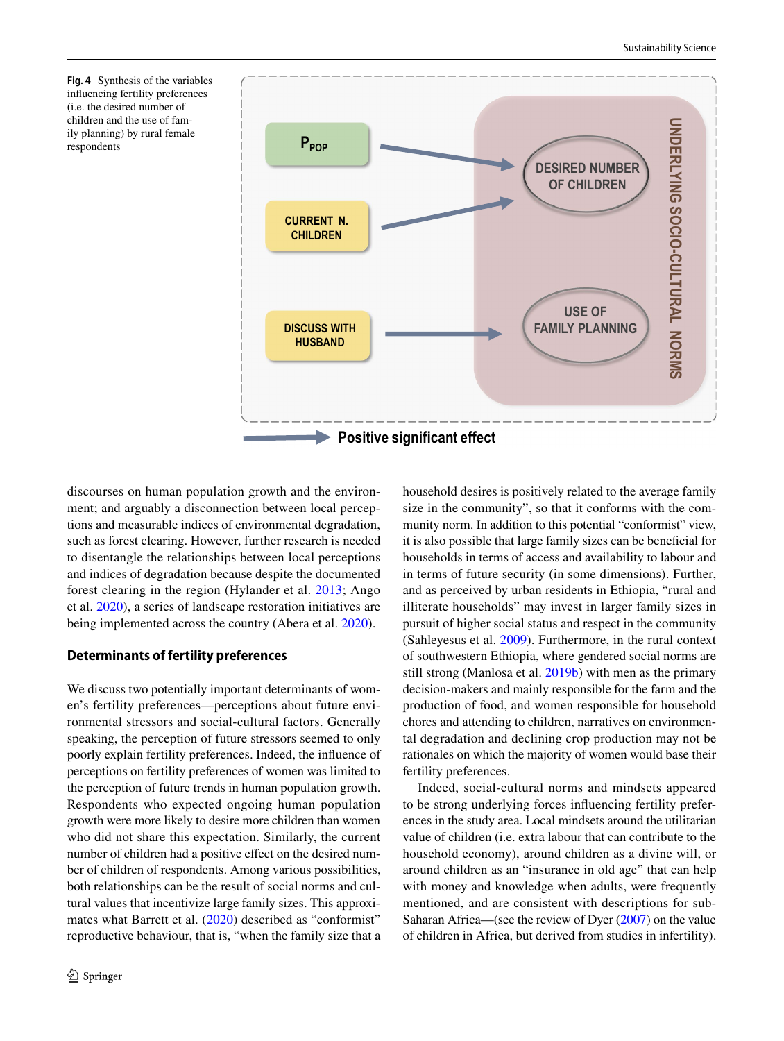<span id="page-11-0"></span>**Fig. 4** Synthesis of the variables infuencing fertility preferences (i.e. the desired number of children and the use of family planning) by rural female respondents



discourses on human population growth and the environment; and arguably a disconnection between local perceptions and measurable indices of environmental degradation, such as forest clearing. However, further research is needed to disentangle the relationships between local perceptions and indices of degradation because despite the documented forest clearing in the region (Hylander et al. [2013](#page-14-26); Ango et al. [2020\)](#page-13-8), a series of landscape restoration initiatives are being implemented across the country (Abera et al. [2020\)](#page-13-9).

# **Determinants of fertility preferences**

We discuss two potentially important determinants of women's fertility preferences—perceptions about future environmental stressors and social-cultural factors. Generally speaking, the perception of future stressors seemed to only poorly explain fertility preferences. Indeed, the infuence of perceptions on fertility preferences of women was limited to the perception of future trends in human population growth. Respondents who expected ongoing human population growth were more likely to desire more children than women who did not share this expectation. Similarly, the current number of children had a positive efect on the desired number of children of respondents. Among various possibilities, both relationships can be the result of social norms and cultural values that incentivize large family sizes. This approximates what Barrett et al. ([2020](#page-13-10)) described as "conformist" reproductive behaviour, that is, "when the family size that a

household desires is positively related to the average family size in the community", so that it conforms with the community norm. In addition to this potential "conformist" view, it is also possible that large family sizes can be benefcial for households in terms of access and availability to labour and in terms of future security (in some dimensions). Further, and as perceived by urban residents in Ethiopia, "rural and illiterate households" may invest in larger family sizes in pursuit of higher social status and respect in the community (Sahleyesus et al. [2009](#page-15-21)). Furthermore, in the rural context of southwestern Ethiopia, where gendered social norms are still strong (Manlosa et al. [2019b\)](#page-14-28) with men as the primary decision-makers and mainly responsible for the farm and the production of food, and women responsible for household chores and attending to children, narratives on environmental degradation and declining crop production may not be rationales on which the majority of women would base their fertility preferences.

Indeed, social-cultural norms and mindsets appeared to be strong underlying forces infuencing fertility preferences in the study area. Local mindsets around the utilitarian value of children (i.e. extra labour that can contribute to the household economy), around children as a divine will, or around children as an "insurance in old age" that can help with money and knowledge when adults, were frequently mentioned, and are consistent with descriptions for sub-Saharan Africa—(see the review of Dyer ([2007](#page-14-29)) on the value of children in Africa, but derived from studies in infertility).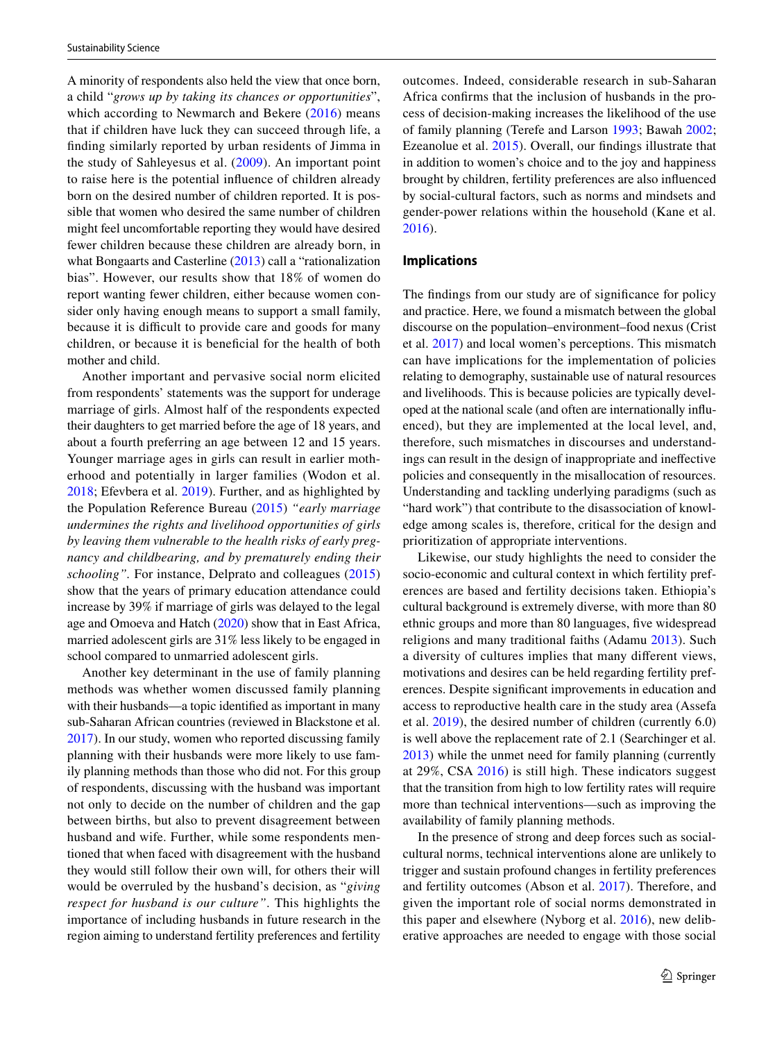A minority of respondents also held the view that once born, a child "*grows up by taking its chances or opportunities*", which according to Newmarch and Bekere ([2016](#page-15-22)) means that if children have luck they can succeed through life, a fnding similarly reported by urban residents of Jimma in the study of Sahleyesus et al. [\(2009\)](#page-15-21). An important point to raise here is the potential infuence of children already born on the desired number of children reported. It is possible that women who desired the same number of children might feel uncomfortable reporting they would have desired fewer children because these children are already born, in what Bongaarts and Casterline [\(2013](#page-14-30)) call a "rationalization bias". However, our results show that 18% of women do report wanting fewer children, either because women consider only having enough means to support a small family, because it is difficult to provide care and goods for many children, or because it is benefcial for the health of both mother and child.

Another important and pervasive social norm elicited from respondents' statements was the support for underage marriage of girls. Almost half of the respondents expected their daughters to get married before the age of 18 years, and about a fourth preferring an age between 12 and 15 years. Younger marriage ages in girls can result in earlier motherhood and potentially in larger families (Wodon et al. [2018](#page-15-23); Efevbera et al. [2019](#page-14-31)). Further, and as highlighted by the Population Reference Bureau ([2015](#page-15-24)) *"early marriage undermines the rights and livelihood opportunities of girls by leaving them vulnerable to the health risks of early pregnancy and childbearing, and by prematurely ending their schooling*". For instance, Delprato and colleagues [\(2015\)](#page-14-32) show that the years of primary education attendance could increase by 39% if marriage of girls was delayed to the legal age and Omoeva and Hatch [\(2020](#page-15-25)) show that in East Africa, married adolescent girls are 31% less likely to be engaged in school compared to unmarried adolescent girls.

Another key determinant in the use of family planning methods was whether women discussed family planning with their husbands—a topic identifed as important in many sub-Saharan African countries (reviewed in Blackstone et al. [2017](#page-13-11)). In our study, women who reported discussing family planning with their husbands were more likely to use family planning methods than those who did not. For this group of respondents, discussing with the husband was important not only to decide on the number of children and the gap between births, but also to prevent disagreement between husband and wife. Further, while some respondents mentioned that when faced with disagreement with the husband they would still follow their own will, for others their will would be overruled by the husband's decision, as "*giving respect for husband is our culture"*. This highlights the importance of including husbands in future research in the region aiming to understand fertility preferences and fertility outcomes. Indeed, considerable research in sub-Saharan Africa confrms that the inclusion of husbands in the process of decision-making increases the likelihood of the use of family planning (Terefe and Larson [1993](#page-15-26); Bawah [2002](#page-13-12); Ezeanolue et al. [2015](#page-14-33)). Overall, our fndings illustrate that in addition to women's choice and to the joy and happiness brought by children, fertility preferences are also infuenced by social-cultural factors, such as norms and mindsets and gender-power relations within the household (Kane et al. [2016](#page-14-34)).

## **Implications**

The fndings from our study are of signifcance for policy and practice. Here, we found a mismatch between the global discourse on the population–environment–food nexus (Crist et al. [2017\)](#page-14-0) and local women's perceptions. This mismatch can have implications for the implementation of policies relating to demography, sustainable use of natural resources and livelihoods. This is because policies are typically developed at the national scale (and often are internationally infuenced), but they are implemented at the local level, and, therefore, such mismatches in discourses and understandings can result in the design of inappropriate and inefective policies and consequently in the misallocation of resources. Understanding and tackling underlying paradigms (such as "hard work") that contribute to the disassociation of knowledge among scales is, therefore, critical for the design and prioritization of appropriate interventions.

Likewise, our study highlights the need to consider the socio-economic and cultural context in which fertility preferences are based and fertility decisions taken. Ethiopia's cultural background is extremely diverse, with more than 80 ethnic groups and more than 80 languages, fve widespread religions and many traditional faiths (Adamu [2013](#page-13-13)). Such a diversity of cultures implies that many diferent views, motivations and desires can be held regarding fertility preferences. Despite signifcant improvements in education and access to reproductive health care in the study area (Assefa et al. [2019](#page-13-14)), the desired number of children (currently 6.0) is well above the replacement rate of 2.1 (Searchinger et al. [2013](#page-15-27)) while the unmet need for family planning (currently at 29%, CSA [2016](#page-14-22)) is still high. These indicators suggest that the transition from high to low fertility rates will require more than technical interventions—such as improving the availability of family planning methods.

In the presence of strong and deep forces such as socialcultural norms, technical interventions alone are unlikely to trigger and sustain profound changes in fertility preferences and fertility outcomes (Abson et al. [2017](#page-13-15)). Therefore, and given the important role of social norms demonstrated in this paper and elsewhere (Nyborg et al. [2016\)](#page-15-8), new deliberative approaches are needed to engage with those social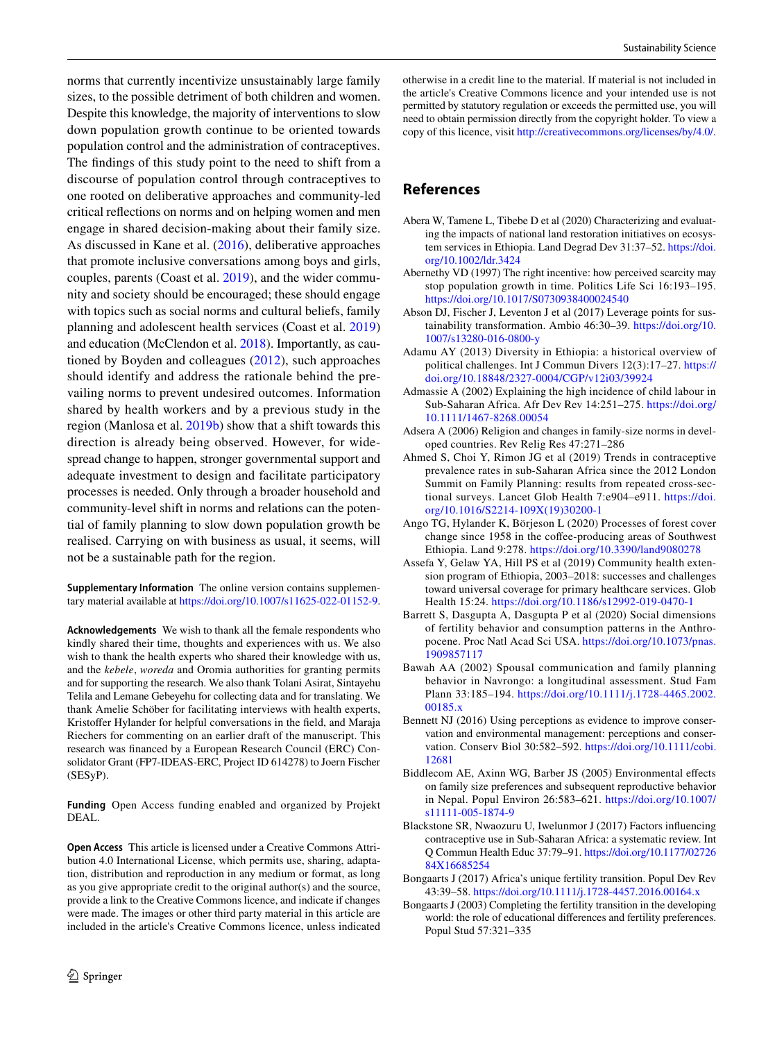norms that currently incentivize unsustainably large family sizes, to the possible detriment of both children and women. Despite this knowledge, the majority of interventions to slow down population growth continue to be oriented towards population control and the administration of contraceptives. The fndings of this study point to the need to shift from a discourse of population control through contraceptives to one rooted on deliberative approaches and community-led critical refections on norms and on helping women and men engage in shared decision-making about their family size. As discussed in Kane et al. [\(2016\)](#page-14-34), deliberative approaches that promote inclusive conversations among boys and girls, couples, parents (Coast et al. [2019\)](#page-14-35), and the wider community and society should be encouraged; these should engage with topics such as social norms and cultural beliefs, family planning and adolescent health services (Coast et al. [2019\)](#page-14-35) and education (McClendon et al. [2018](#page-15-28)). Importantly, as cautioned by Boyden and colleagues [\(2012](#page-14-36)), such approaches should identify and address the rationale behind the prevailing norms to prevent undesired outcomes. Information shared by health workers and by a previous study in the region (Manlosa et al. [2019b\)](#page-14-28) show that a shift towards this direction is already being observed. However, for widespread change to happen, stronger governmental support and adequate investment to design and facilitate participatory processes is needed. Only through a broader household and community-level shift in norms and relations can the potential of family planning to slow down population growth be realised. Carrying on with business as usual, it seems, will not be a sustainable path for the region.

**Supplementary Information** The online version contains supplementary material available at<https://doi.org/10.1007/s11625-022-01152-9>.

**Acknowledgements** We wish to thank all the female respondents who kindly shared their time, thoughts and experiences with us. We also wish to thank the health experts who shared their knowledge with us, and the *kebele*, *woreda* and Oromia authorities for granting permits and for supporting the research. We also thank Tolani Asirat, Sintayehu Telila and Lemane Gebeyehu for collecting data and for translating. We thank Amelie Schöber for facilitating interviews with health experts, Kristofer Hylander for helpful conversations in the feld, and Maraja Riechers for commenting on an earlier draft of the manuscript. This research was fnanced by a European Research Council (ERC) Consolidator Grant (FP7-IDEAS-ERC, Project ID 614278) to Joern Fischer (SESyP).

**Funding** Open Access funding enabled and organized by Projekt DEAL.

**Open Access** This article is licensed under a Creative Commons Attribution 4.0 International License, which permits use, sharing, adaptation, distribution and reproduction in any medium or format, as long as you give appropriate credit to the original author(s) and the source, provide a link to the Creative Commons licence, and indicate if changes were made. The images or other third party material in this article are included in the article's Creative Commons licence, unless indicated otherwise in a credit line to the material. If material is not included in the article's Creative Commons licence and your intended use is not permitted by statutory regulation or exceeds the permitted use, you will need to obtain permission directly from the copyright holder. To view a copy of this licence, visit<http://creativecommons.org/licenses/by/4.0/>.

# **References**

- <span id="page-13-9"></span>Abera W, Tamene L, Tibebe D et al (2020) Characterizing and evaluating the impacts of national land restoration initiatives on ecosystem services in Ethiopia. Land Degrad Dev 31:37–52. [https://doi.](https://doi.org/10.1002/ldr.3424) [org/10.1002/ldr.3424](https://doi.org/10.1002/ldr.3424)
- <span id="page-13-6"></span>Abernethy VD (1997) The right incentive: how perceived scarcity may stop population growth in time. Politics Life Sci 16:193–195. <https://doi.org/10.1017/S0730938400024540>
- <span id="page-13-15"></span>Abson DJ, Fischer J, Leventon J et al (2017) Leverage points for sustainability transformation. Ambio 46:30–39. [https://doi.org/10.](https://doi.org/10.1007/s13280-016-0800-y) [1007/s13280-016-0800-y](https://doi.org/10.1007/s13280-016-0800-y)
- <span id="page-13-13"></span>Adamu AY (2013) Diversity in Ethiopia: a historical overview of political challenges. Int J Commun Divers 12(3):17–27. [https://](https://doi.org/10.18848/2327-0004/CGP/v12i03/39924) [doi.org/10.18848/2327-0004/CGP/v12i03/39924](https://doi.org/10.18848/2327-0004/CGP/v12i03/39924)
- <span id="page-13-5"></span>Admassie A (2002) Explaining the high incidence of child labour in Sub-Saharan Africa. Afr Dev Rev 14:251–275. [https://doi.org/](https://doi.org/10.1111/1467-8268.00054) [10.1111/1467-8268.00054](https://doi.org/10.1111/1467-8268.00054)
- <span id="page-13-4"></span>Adsera A (2006) Religion and changes in family-size norms in developed countries. Rev Relig Res 47:271–286
- <span id="page-13-1"></span>Ahmed S, Choi Y, Rimon JG et al (2019) Trends in contraceptive prevalence rates in sub-Saharan Africa since the 2012 London Summit on Family Planning: results from repeated cross-sectional surveys. Lancet Glob Health 7:e904–e911. [https://doi.](https://doi.org/10.1016/S2214-109X(19)30200-1) [org/10.1016/S2214-109X\(19\)30200-1](https://doi.org/10.1016/S2214-109X(19)30200-1)
- <span id="page-13-8"></span>Ango TG, Hylander K, Börjeson L (2020) Processes of forest cover change since 1958 in the coffee-producing areas of Southwest Ethiopia. Land 9:278. <https://doi.org/10.3390/land9080278>
- <span id="page-13-14"></span>Assefa Y, Gelaw YA, Hill PS et al (2019) Community health extension program of Ethiopia, 2003–2018: successes and challenges toward universal coverage for primary healthcare services. Glob Health 15:24. <https://doi.org/10.1186/s12992-019-0470-1>
- <span id="page-13-10"></span>Barrett S, Dasgupta A, Dasgupta P et al (2020) Social dimensions of fertility behavior and consumption patterns in the Anthropocene. Proc Natl Acad Sci USA. [https://doi.org/10.1073/pnas.](https://doi.org/10.1073/pnas.1909857117) [1909857117](https://doi.org/10.1073/pnas.1909857117)
- <span id="page-13-12"></span>Bawah AA (2002) Spousal communication and family planning behavior in Navrongo: a longitudinal assessment. Stud Fam Plann 33:185–194. [https://doi.org/10.1111/j.1728-4465.2002.](https://doi.org/10.1111/j.1728-4465.2002.00185.x) [00185.x](https://doi.org/10.1111/j.1728-4465.2002.00185.x)
- <span id="page-13-2"></span>Bennett NJ (2016) Using perceptions as evidence to improve conservation and environmental management: perceptions and conservation. Conserv Biol 30:582–592. [https://doi.org/10.1111/cobi.](https://doi.org/10.1111/cobi.12681) [12681](https://doi.org/10.1111/cobi.12681)
- <span id="page-13-7"></span>Biddlecom AE, Axinn WG, Barber JS (2005) Environmental efects on family size preferences and subsequent reproductive behavior in Nepal. Popul Environ 26:583–621. [https://doi.org/10.1007/](https://doi.org/10.1007/s11111-005-1874-9) [s11111-005-1874-9](https://doi.org/10.1007/s11111-005-1874-9)
- <span id="page-13-11"></span>Blackstone SR, Nwaozuru U, Iwelunmor J (2017) Factors infuencing contraceptive use in Sub-Saharan Africa: a systematic review. Int Q Commun Health Educ 37:79–91. [https://doi.org/10.1177/02726](https://doi.org/10.1177/0272684X16685254) [84X16685254](https://doi.org/10.1177/0272684X16685254)
- <span id="page-13-0"></span>Bongaarts J (2017) Africa's unique fertility transition. Popul Dev Rev 43:39–58. <https://doi.org/10.1111/j.1728-4457.2016.00164.x>
- <span id="page-13-3"></span>Bongaarts J (2003) Completing the fertility transition in the developing world: the role of educational diferences and fertility preferences. Popul Stud 57:321–335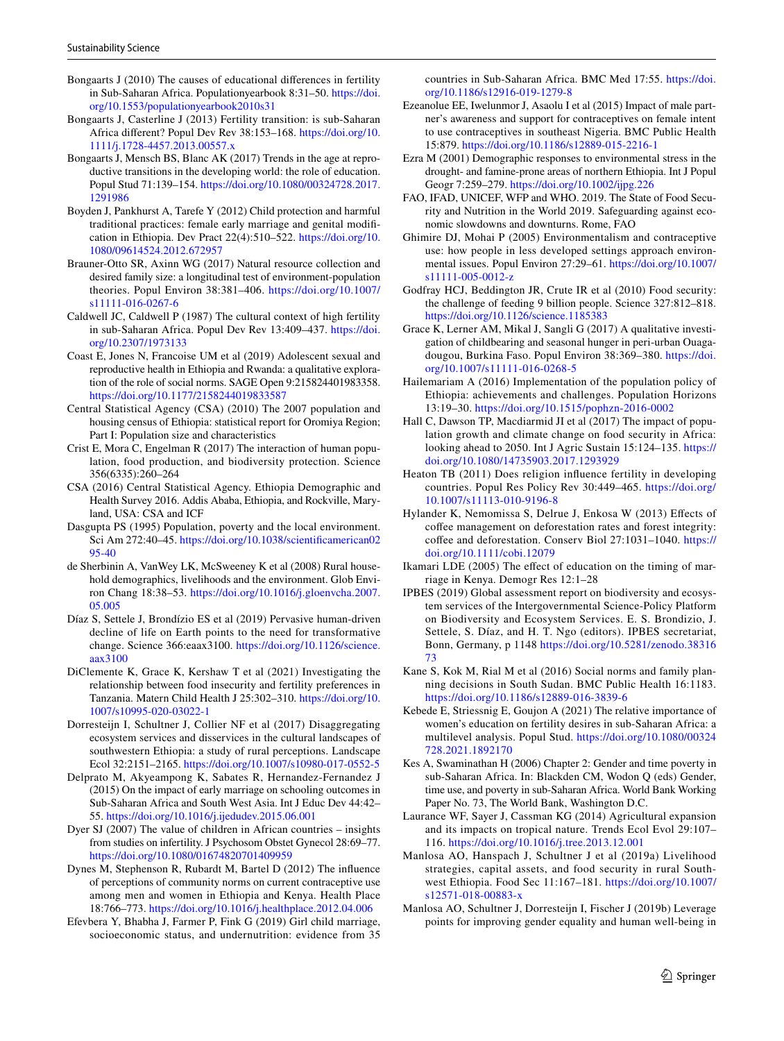- <span id="page-14-13"></span>Bongaarts J (2010) The causes of educational diferences in fertility in Sub-Saharan Africa. Populationyearbook 8:31–50. [https://doi.](https://doi.org/10.1553/populationyearbook2010s31) [org/10.1553/populationyearbook2010s31](https://doi.org/10.1553/populationyearbook2010s31)
- <span id="page-14-30"></span>Bongaarts J, Casterline J (2013) Fertility transition: is sub-Saharan Africa diferent? Popul Dev Rev 38:153–168. [https://doi.org/10.](https://doi.org/10.1111/j.1728-4457.2013.00557.x) [1111/j.1728-4457.2013.00557.x](https://doi.org/10.1111/j.1728-4457.2013.00557.x)
- <span id="page-14-5"></span>Bongaarts J, Mensch BS, Blanc AK (2017) Trends in the age at reproductive transitions in the developing world: the role of education. Popul Stud 71:139–154. [https://doi.org/10.1080/00324728.2017.](https://doi.org/10.1080/00324728.2017.1291986) [1291986](https://doi.org/10.1080/00324728.2017.1291986)
- <span id="page-14-36"></span>Boyden J, Pankhurst A, Tarefe Y (2012) Child protection and harmful traditional practices: female early marriage and genital modifcation in Ethiopia. Dev Pract 22(4):510–522. [https://doi.org/10.](https://doi.org/10.1080/09614524.2012.672957) [1080/09614524.2012.672957](https://doi.org/10.1080/09614524.2012.672957)
- <span id="page-14-20"></span>Brauner-Otto SR, Axinn WG (2017) Natural resource collection and desired family size: a longitudinal test of environment-population theories. Popul Environ 38:381–406. [https://doi.org/10.1007/](https://doi.org/10.1007/s11111-016-0267-6) [s11111-016-0267-6](https://doi.org/10.1007/s11111-016-0267-6)
- <span id="page-14-6"></span>Caldwell JC, Caldwell P (1987) The cultural context of high fertility in sub-Saharan Africa. Popul Dev Rev 13:409–437. [https://doi.](https://doi.org/10.2307/1973133) [org/10.2307/1973133](https://doi.org/10.2307/1973133)
- <span id="page-14-35"></span>Coast E, Jones N, Francoise UM et al (2019) Adolescent sexual and reproductive health in Ethiopia and Rwanda: a qualitative exploration of the role of social norms. SAGE Open 9:215824401983358. <https://doi.org/10.1177/2158244019833587>
- <span id="page-14-25"></span>Central Statistical Agency (CSA) (2010) The 2007 population and housing census of Ethiopia: statistical report for Oromiya Region; Part I: Population size and characteristics
- <span id="page-14-0"></span>Crist E, Mora C, Engelman R (2017) The interaction of human population, food production, and biodiversity protection. Science 356(6335):260–264
- <span id="page-14-22"></span>CSA (2016) Central Statistical Agency. Ethiopia Demographic and Health Survey 2016. Addis Ababa, Ethiopia, and Rockville, Maryland, USA: CSA and ICF
- <span id="page-14-18"></span>Dasgupta PS (1995) Population, poverty and the local environment. Sci Am 272:40–45. [https://doi.org/10.1038/scientifcamerican02](https://doi.org/10.1038/scientificamerican0295-40) [95-40](https://doi.org/10.1038/scientificamerican0295-40)
- <span id="page-14-19"></span>de Sherbinin A, VanWey LK, McSweeney K et al (2008) Rural household demographics, livelihoods and the environment. Glob Environ Chang 18:38–53. [https://doi.org/10.1016/j.gloenvcha.2007.](https://doi.org/10.1016/j.gloenvcha.2007.05.005) [05.005](https://doi.org/10.1016/j.gloenvcha.2007.05.005)
- <span id="page-14-1"></span>Díaz S, Settele J, Brondízio ES et al (2019) Pervasive human-driven decline of life on Earth points to the need for transformative change. Science 366:eaax3100. [https://doi.org/10.1126/science.](https://doi.org/10.1126/science.aax3100) [aax3100](https://doi.org/10.1126/science.aax3100)
- <span id="page-14-8"></span>DiClemente K, Grace K, Kershaw T et al (2021) Investigating the relationship between food insecurity and fertility preferences in Tanzania. Matern Child Health J 25:302–310. [https://doi.org/10.](https://doi.org/10.1007/s10995-020-03022-1) [1007/s10995-020-03022-1](https://doi.org/10.1007/s10995-020-03022-1)
- <span id="page-14-24"></span>Dorresteijn I, Schultner J, Collier NF et al (2017) Disaggregating ecosystem services and disservices in the cultural landscapes of southwestern Ethiopia: a study of rural perceptions. Landscape Ecol 32:2151–2165. <https://doi.org/10.1007/s10980-017-0552-5>
- <span id="page-14-32"></span>Delprato M, Akyeampong K, Sabates R, Hernandez-Fernandez J (2015) On the impact of early marriage on schooling outcomes in Sub-Saharan Africa and South West Asia. Int J Educ Dev 44:42– 55. <https://doi.org/10.1016/j.ijedudev.2015.06.001>
- <span id="page-14-29"></span>Dyer SJ (2007) The value of children in African countries – insights from studies on infertility. J Psychosom Obstet Gynecol 28:69–77. <https://doi.org/10.1080/01674820701409959>
- <span id="page-14-14"></span>Dynes M, Stephenson R, Rubardt M, Bartel D (2012) The infuence of perceptions of community norms on current contraceptive use among men and women in Ethiopia and Kenya. Health Place 18:766–773.<https://doi.org/10.1016/j.healthplace.2012.04.006>
- <span id="page-14-31"></span>Efevbera Y, Bhabha J, Farmer P, Fink G (2019) Girl child marriage, socioeconomic status, and undernutrition: evidence from 35

countries in Sub-Saharan Africa. BMC Med 17:55. [https://doi.](https://doi.org/10.1186/s12916-019-1279-8) [org/10.1186/s12916-019-1279-8](https://doi.org/10.1186/s12916-019-1279-8)

- <span id="page-14-33"></span>Ezeanolue EE, Iwelunmor J, Asaolu I et al (2015) Impact of male partner's awareness and support for contraceptives on female intent to use contraceptives in southeast Nigeria. BMC Public Health 15:879.<https://doi.org/10.1186/s12889-015-2216-1>
- <span id="page-14-9"></span>Ezra M (2001) Demographic responses to environmental stress in the drought- and famine-prone areas of northern Ethiopia. Int J Popul Geogr 7:259–279. <https://doi.org/10.1002/ijpg.226>
- <span id="page-14-3"></span>FAO, IFAD, UNICEF, WFP and WHO. 2019. The State of Food Security and Nutrition in the World 2019. Safeguarding against economic slowdowns and downturns. Rome, FAO
- <span id="page-14-7"></span>Ghimire DJ, Mohai P (2005) Environmentalism and contraceptive use: how people in less developed settings approach environmental issues. Popul Environ 27:29–61. [https://doi.org/10.1007/](https://doi.org/10.1007/s11111-005-0012-z) [s11111-005-0012-z](https://doi.org/10.1007/s11111-005-0012-z)
- <span id="page-14-27"></span>Godfray HCJ, Beddington JR, Crute IR et al (2010) Food security: the challenge of feeding 9 billion people. Science 327:812–818. <https://doi.org/10.1126/science.1185383>
- <span id="page-14-21"></span>Grace K, Lerner AM, Mikal J, Sangli G (2017) A qualitative investigation of childbearing and seasonal hunger in peri-urban Ouagadougou, Burkina Faso. Popul Environ 38:369–380. [https://doi.](https://doi.org/10.1007/s11111-016-0268-5) [org/10.1007/s11111-016-0268-5](https://doi.org/10.1007/s11111-016-0268-5)
- <span id="page-14-23"></span>Hailemariam A (2016) Implementation of the population policy of Ethiopia: achievements and challenges. Population Horizons 13:19–30. <https://doi.org/10.1515/pophzn-2016-0002>
- <span id="page-14-2"></span>Hall C, Dawson TP, Macdiarmid JI et al (2017) The impact of population growth and climate change on food security in Africa: looking ahead to 2050. Int J Agric Sustain 15:124–135. [https://](https://doi.org/10.1080/14735903.2017.1293929) [doi.org/10.1080/14735903.2017.1293929](https://doi.org/10.1080/14735903.2017.1293929)
- <span id="page-14-16"></span>Heaton TB (2011) Does religion infuence fertility in developing countries. Popul Res Policy Rev 30:449–465. [https://doi.org/](https://doi.org/10.1007/s11113-010-9196-8) [10.1007/s11113-010-9196-8](https://doi.org/10.1007/s11113-010-9196-8)
- <span id="page-14-26"></span>Hylander K, Nemomissa S, Delrue J, Enkosa W (2013) Efects of coffee management on deforestation rates and forest integrity: coffee and deforestation. Conserv Biol 27:1031-1040. [https://](https://doi.org/10.1111/cobi.12079) [doi.org/10.1111/cobi.12079](https://doi.org/10.1111/cobi.12079)
- <span id="page-14-12"></span>Ikamari LDE (2005) The efect of education on the timing of marriage in Kenya. Demogr Res 12:1–28
- <span id="page-14-10"></span>IPBES (2019) Global assessment report on biodiversity and ecosystem services of the Intergovernmental Science-Policy Platform on Biodiversity and Ecosystem Services. E. S. Brondizio, J. Settele, S. Díaz, and H. T. Ngo (editors). IPBES secretariat, Bonn, Germany, p 1148 [https://doi.org/10.5281/zenodo.38316](https://doi.org/10.5281/zenodo.3831673) [73](https://doi.org/10.5281/zenodo.3831673)
- <span id="page-14-34"></span>Kane S, Kok M, Rial M et al (2016) Social norms and family planning decisions in South Sudan. BMC Public Health 16:1183. <https://doi.org/10.1186/s12889-016-3839-6>
- <span id="page-14-15"></span>Kebede E, Striessnig E, Goujon A (2021) The relative importance of women's education on fertility desires in sub-Saharan Africa: a multilevel analysis. Popul Stud. [https://doi.org/10.1080/00324](https://doi.org/10.1080/00324728.2021.1892170) [728.2021.1892170](https://doi.org/10.1080/00324728.2021.1892170)
- <span id="page-14-17"></span>Kes A, Swaminathan H (2006) Chapter 2: Gender and time poverty in sub-Saharan Africa. In: Blackden CM, Wodon Q (eds) Gender, time use, and poverty in sub-Saharan Africa. World Bank Working Paper No. 73, The World Bank, Washington D.C.
- <span id="page-14-4"></span>Laurance WF, Sayer J, Cassman KG (2014) Agricultural expansion and its impacts on tropical nature. Trends Ecol Evol 29:107– 116. <https://doi.org/10.1016/j.tree.2013.12.001>
- <span id="page-14-11"></span>Manlosa AO, Hanspach J, Schultner J et al (2019a) Livelihood strategies, capital assets, and food security in rural Southwest Ethiopia. Food Sec 11:167–181. [https://doi.org/10.1007/](https://doi.org/10.1007/s12571-018-00883-x) [s12571-018-00883-x](https://doi.org/10.1007/s12571-018-00883-x)
- <span id="page-14-28"></span>Manlosa AO, Schultner J, Dorresteijn I, Fischer J (2019b) Leverage points for improving gender equality and human well-being in